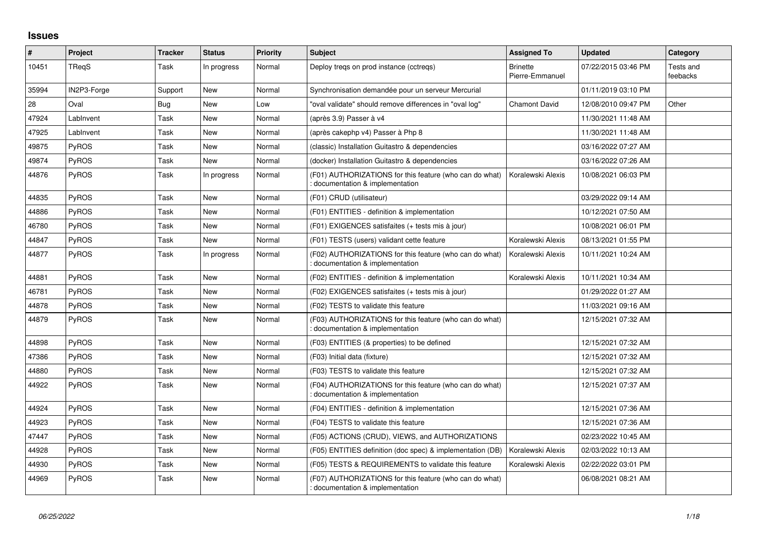## **Issues**

| $\vert$ # | Project      | <b>Tracker</b> | <b>Status</b> | <b>Priority</b> | <b>Subject</b>                                                                              | <b>Assigned To</b>                 | <b>Updated</b>      | Category              |
|-----------|--------------|----------------|---------------|-----------------|---------------------------------------------------------------------------------------------|------------------------------------|---------------------|-----------------------|
| 10451     | <b>TRegS</b> | Task           | In progress   | Normal          | Deploy treqs on prod instance (cctreqs)                                                     | <b>Brinette</b><br>Pierre-Emmanuel | 07/22/2015 03:46 PM | Tests and<br>feebacks |
| 35994     | IN2P3-Forge  | Support        | New           | Normal          | Synchronisation demandée pour un serveur Mercurial                                          |                                    | 01/11/2019 03:10 PM |                       |
| 28        | Oval         | Bug            | <b>New</b>    | Low             | "oval validate" should remove differences in "oval log"                                     | <b>Chamont David</b>               | 12/08/2010 09:47 PM | Other                 |
| 47924     | LabInvent    | Task           | <b>New</b>    | Normal          | (après 3.9) Passer à v4                                                                     |                                    | 11/30/2021 11:48 AM |                       |
| 47925     | LabInvent    | Task           | <b>New</b>    | Normal          | (après cakephp v4) Passer à Php 8                                                           |                                    | 11/30/2021 11:48 AM |                       |
| 49875     | <b>PyROS</b> | Task           | <b>New</b>    | Normal          | (classic) Installation Guitastro & dependencies                                             |                                    | 03/16/2022 07:27 AM |                       |
| 49874     | <b>PyROS</b> | Task           | New           | Normal          | (docker) Installation Guitastro & dependencies                                              |                                    | 03/16/2022 07:26 AM |                       |
| 44876     | <b>PvROS</b> | Task           | In progress   | Normal          | (F01) AUTHORIZATIONS for this feature (who can do what)<br>documentation & implementation   | Koralewski Alexis                  | 10/08/2021 06:03 PM |                       |
| 44835     | <b>PyROS</b> | Task           | <b>New</b>    | Normal          | (F01) CRUD (utilisateur)                                                                    |                                    | 03/29/2022 09:14 AM |                       |
| 44886     | <b>PyROS</b> | Task           | <b>New</b>    | Normal          | (F01) ENTITIES - definition & implementation                                                |                                    | 10/12/2021 07:50 AM |                       |
| 46780     | <b>PyROS</b> | Task           | New           | Normal          | (F01) EXIGENCES satisfaites (+ tests mis à jour)                                            |                                    | 10/08/2021 06:01 PM |                       |
| 44847     | <b>PyROS</b> | Task           | <b>New</b>    | Normal          | (F01) TESTS (users) validant cette feature                                                  | Koralewski Alexis                  | 08/13/2021 01:55 PM |                       |
| 44877     | <b>PyROS</b> | Task           | In progress   | Normal          | (F02) AUTHORIZATIONS for this feature (who can do what)<br>: documentation & implementation | Koralewski Alexis                  | 10/11/2021 10:24 AM |                       |
| 44881     | PyROS        | Task           | New           | Normal          | (F02) ENTITIES - definition & implementation                                                | Koralewski Alexis                  | 10/11/2021 10:34 AM |                       |
| 46781     | <b>PyROS</b> | Task           | <b>New</b>    | Normal          | (F02) EXIGENCES satisfaites (+ tests mis à jour)                                            |                                    | 01/29/2022 01:27 AM |                       |
| 44878     | <b>PyROS</b> | Task           | <b>New</b>    | Normal          | (F02) TESTS to validate this feature                                                        |                                    | 11/03/2021 09:16 AM |                       |
| 44879     | <b>PyROS</b> | Task           | New           | Normal          | (F03) AUTHORIZATIONS for this feature (who can do what)<br>documentation & implementation   |                                    | 12/15/2021 07:32 AM |                       |
| 44898     | PyROS        | Task           | <b>New</b>    | Normal          | (F03) ENTITIES (& properties) to be defined                                                 |                                    | 12/15/2021 07:32 AM |                       |
| 47386     | <b>PyROS</b> | Task           | <b>New</b>    | Normal          | (F03) Initial data (fixture)                                                                |                                    | 12/15/2021 07:32 AM |                       |
| 44880     | <b>PyROS</b> | Task           | <b>New</b>    | Normal          | (F03) TESTS to validate this feature                                                        |                                    | 12/15/2021 07:32 AM |                       |
| 44922     | <b>PyROS</b> | Task           | New           | Normal          | (F04) AUTHORIZATIONS for this feature (who can do what)<br>: documentation & implementation |                                    | 12/15/2021 07:37 AM |                       |
| 44924     | PyROS        | Task           | <b>New</b>    | Normal          | (F04) ENTITIES - definition & implementation                                                |                                    | 12/15/2021 07:36 AM |                       |
| 44923     | PyROS        | Task           | <b>New</b>    | Normal          | (F04) TESTS to validate this feature                                                        |                                    | 12/15/2021 07:36 AM |                       |
| 47447     | <b>PyROS</b> | Task           | New           | Normal          | (F05) ACTIONS (CRUD), VIEWS, and AUTHORIZATIONS                                             |                                    | 02/23/2022 10:45 AM |                       |
| 44928     | PyROS        | Task           | <b>New</b>    | Normal          | (F05) ENTITIES definition (doc spec) & implementation (DB)                                  | Koralewski Alexis                  | 02/03/2022 10:13 AM |                       |
| 44930     | PyROS        | Task           | <b>New</b>    | Normal          | (F05) TESTS & REQUIREMENTS to validate this feature                                         | Koralewski Alexis                  | 02/22/2022 03:01 PM |                       |
| 44969     | <b>PyROS</b> | Task           | <b>New</b>    | Normal          | (F07) AUTHORIZATIONS for this feature (who can do what)<br>: documentation & implementation |                                    | 06/08/2021 08:21 AM |                       |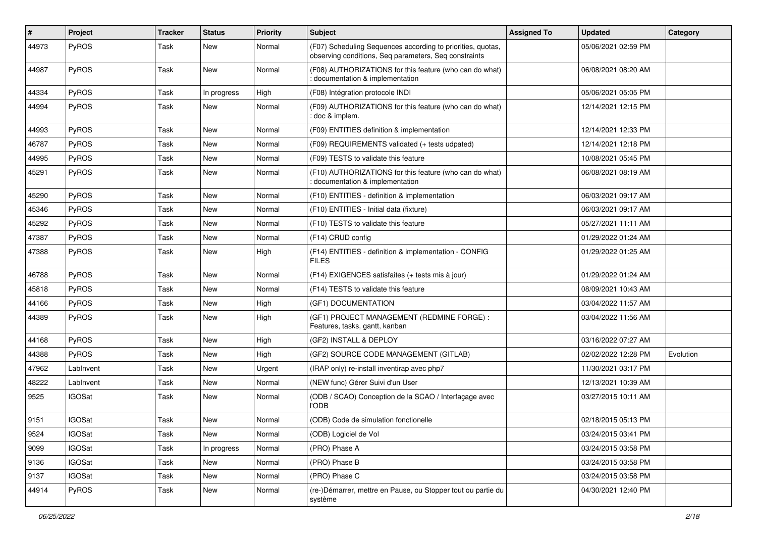| #     | Project       | <b>Tracker</b> | <b>Status</b> | <b>Priority</b> | <b>Subject</b>                                                                                                       | <b>Assigned To</b> | <b>Updated</b>      | Category  |
|-------|---------------|----------------|---------------|-----------------|----------------------------------------------------------------------------------------------------------------------|--------------------|---------------------|-----------|
| 44973 | PyROS         | Task           | <b>New</b>    | Normal          | (F07) Scheduling Sequences according to priorities, quotas,<br>observing conditions, Seq parameters, Seq constraints |                    | 05/06/2021 02:59 PM |           |
| 44987 | <b>PyROS</b>  | Task           | <b>New</b>    | Normal          | (F08) AUTHORIZATIONS for this feature (who can do what)<br>documentation & implementation                            |                    | 06/08/2021 08:20 AM |           |
| 44334 | PyROS         | Task           | In progress   | High            | (F08) Intégration protocole INDI                                                                                     |                    | 05/06/2021 05:05 PM |           |
| 44994 | PyROS         | Task           | New           | Normal          | (F09) AUTHORIZATIONS for this feature (who can do what)<br>: doc & implem.                                           |                    | 12/14/2021 12:15 PM |           |
| 44993 | PyROS         | Task           | New           | Normal          | (F09) ENTITIES definition & implementation                                                                           |                    | 12/14/2021 12:33 PM |           |
| 46787 | PyROS         | Task           | New           | Normal          | (F09) REQUIREMENTS validated (+ tests udpated)                                                                       |                    | 12/14/2021 12:18 PM |           |
| 44995 | PyROS         | Task           | New           | Normal          | (F09) TESTS to validate this feature                                                                                 |                    | 10/08/2021 05:45 PM |           |
| 45291 | <b>PyROS</b>  | Task           | New           | Normal          | (F10) AUTHORIZATIONS for this feature (who can do what)<br>documentation & implementation                            |                    | 06/08/2021 08:19 AM |           |
| 45290 | PyROS         | Task           | <b>New</b>    | Normal          | (F10) ENTITIES - definition & implementation                                                                         |                    | 06/03/2021 09:17 AM |           |
| 45346 | <b>PyROS</b>  | Task           | New           | Normal          | (F10) ENTITIES - Initial data (fixture)                                                                              |                    | 06/03/2021 09:17 AM |           |
| 45292 | PyROS         | Task           | <b>New</b>    | Normal          | (F10) TESTS to validate this feature                                                                                 |                    | 05/27/2021 11:11 AM |           |
| 47387 | PyROS         | Task           | New           | Normal          | (F14) CRUD config                                                                                                    |                    | 01/29/2022 01:24 AM |           |
| 47388 | PyROS         | Task           | New           | High            | (F14) ENTITIES - definition & implementation - CONFIG<br><b>FILES</b>                                                |                    | 01/29/2022 01:25 AM |           |
| 46788 | PyROS         | Task           | <b>New</b>    | Normal          | (F14) EXIGENCES satisfaites (+ tests mis à jour)                                                                     |                    | 01/29/2022 01:24 AM |           |
| 45818 | PyROS         | Task           | New           | Normal          | (F14) TESTS to validate this feature                                                                                 |                    | 08/09/2021 10:43 AM |           |
| 44166 | <b>PyROS</b>  | Task           | <b>New</b>    | High            | (GF1) DOCUMENTATION                                                                                                  |                    | 03/04/2022 11:57 AM |           |
| 44389 | PyROS         | Task           | New           | High            | (GF1) PROJECT MANAGEMENT (REDMINE FORGE) :<br>Features, tasks, gantt, kanban                                         |                    | 03/04/2022 11:56 AM |           |
| 44168 | PyROS         | Task           | New           | High            | (GF2) INSTALL & DEPLOY                                                                                               |                    | 03/16/2022 07:27 AM |           |
| 44388 | <b>PyROS</b>  | Task           | <b>New</b>    | High            | (GF2) SOURCE CODE MANAGEMENT (GITLAB)                                                                                |                    | 02/02/2022 12:28 PM | Evolution |
| 47962 | LabInvent     | Task           | New           | Urgent          | (IRAP only) re-install inventirap avec php7                                                                          |                    | 11/30/2021 03:17 PM |           |
| 48222 | LabInvent     | Task           | <b>New</b>    | Normal          | (NEW func) Gérer Suivi d'un User                                                                                     |                    | 12/13/2021 10:39 AM |           |
| 9525  | <b>IGOSat</b> | Task           | New           | Normal          | (ODB / SCAO) Conception de la SCAO / Interfaçage avec<br><b>l'ODB</b>                                                |                    | 03/27/2015 10:11 AM |           |
| 9151  | <b>IGOSat</b> | Task           | New           | Normal          | (ODB) Code de simulation fonctionelle                                                                                |                    | 02/18/2015 05:13 PM |           |
| 9524  | <b>IGOSat</b> | Task           | New           | Normal          | (ODB) Logiciel de Vol                                                                                                |                    | 03/24/2015 03:41 PM |           |
| 9099  | <b>IGOSat</b> | Task           | In progress   | Normal          | (PRO) Phase A                                                                                                        |                    | 03/24/2015 03:58 PM |           |
| 9136  | <b>IGOSat</b> | Task           | New           | Normal          | (PRO) Phase B                                                                                                        |                    | 03/24/2015 03:58 PM |           |
| 9137  | <b>IGOSat</b> | Task           | New           | Normal          | (PRO) Phase C                                                                                                        |                    | 03/24/2015 03:58 PM |           |
| 44914 | PyROS         | Task           | New           | Normal          | (re-)Démarrer, mettre en Pause, ou Stopper tout ou partie du<br>système                                              |                    | 04/30/2021 12:40 PM |           |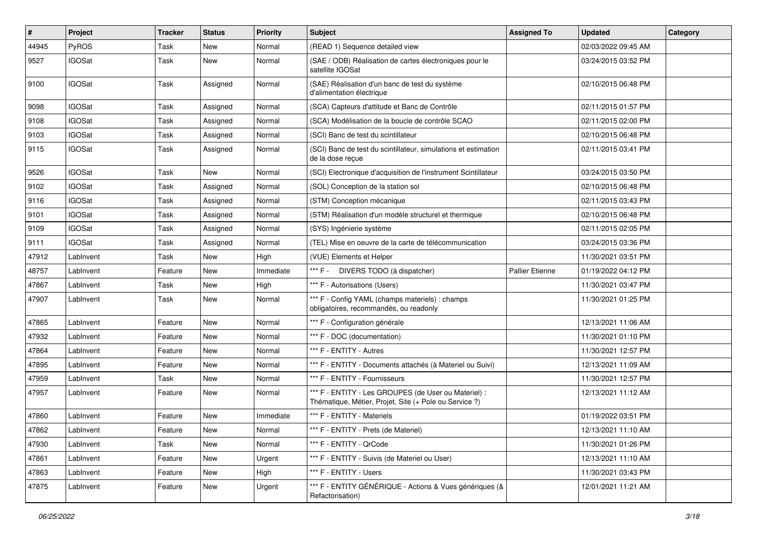| $\vert$ # | Project       | Tracker | <b>Status</b> | <b>Priority</b> | <b>Subject</b>                                                                                                 | <b>Assigned To</b> | <b>Updated</b>      | Category |
|-----------|---------------|---------|---------------|-----------------|----------------------------------------------------------------------------------------------------------------|--------------------|---------------------|----------|
| 44945     | PyROS         | Task    | New           | Normal          | (READ 1) Sequence detailed view                                                                                |                    | 02/03/2022 09:45 AM |          |
| 9527      | <b>IGOSat</b> | Task    | <b>New</b>    | Normal          | (SAE / ODB) Réalisation de cartes électroniques pour le<br>satellite IGOSat                                    |                    | 03/24/2015 03:52 PM |          |
| 9100      | <b>IGOSat</b> | Task    | Assigned      | Normal          | (SAE) Réalisation d'un banc de test du système<br>d'alimentation électrique                                    |                    | 02/10/2015 06:48 PM |          |
| 9098      | <b>IGOSat</b> | Task    | Assigned      | Normal          | (SCA) Capteurs d'attitude et Banc de Contrôle                                                                  |                    | 02/11/2015 01:57 PM |          |
| 9108      | <b>IGOSat</b> | Task    | Assigned      | Normal          | (SCA) Modélisation de la boucle de contrôle SCAO                                                               |                    | 02/11/2015 02:00 PM |          |
| 9103      | <b>IGOSat</b> | Task    | Assigned      | Normal          | (SCI) Banc de test du scintillateur                                                                            |                    | 02/10/2015 06:48 PM |          |
| 9115      | <b>IGOSat</b> | Task    | Assigned      | Normal          | (SCI) Banc de test du scintillateur, simulations et estimation<br>de la dose reçue                             |                    | 02/11/2015 03:41 PM |          |
| 9526      | <b>IGOSat</b> | Task    | New           | Normal          | (SCI) Electronique d'acquisition de l'instrument Scintillateur                                                 |                    | 03/24/2015 03:50 PM |          |
| 9102      | <b>IGOSat</b> | Task    | Assigned      | Normal          | (SOL) Conception de la station sol                                                                             |                    | 02/10/2015 06:48 PM |          |
| 9116      | <b>IGOSat</b> | Task    | Assigned      | Normal          | (STM) Conception mécanique                                                                                     |                    | 02/11/2015 03:43 PM |          |
| 9101      | <b>IGOSat</b> | Task    | Assigned      | Normal          | (STM) Réalisation d'un modèle structurel et thermique                                                          |                    | 02/10/2015 06:48 PM |          |
| 9109      | <b>IGOSat</b> | Task    | Assigned      | Normal          | (SYS) Ingénierie système                                                                                       |                    | 02/11/2015 02:05 PM |          |
| 9111      | <b>IGOSat</b> | Task    | Assigned      | Normal          | (TEL) Mise en oeuvre de la carte de télécommunication                                                          |                    | 03/24/2015 03:36 PM |          |
| 47912     | LabInvent     | Task    | New           | High            | (VUE) Elements et Helper                                                                                       |                    | 11/30/2021 03:51 PM |          |
| 48757     | LabInvent     | Feature | <b>New</b>    | Immediate       | *** F -<br>DIVERS TODO (à dispatcher)                                                                          | Pallier Etienne    | 01/19/2022 04:12 PM |          |
| 47867     | LabInvent     | Task    | New           | High            | *** F - Autorisations (Users)                                                                                  |                    | 11/30/2021 03:47 PM |          |
| 47907     | LabInvent     | Task    | New           | Normal          | *** F - Config YAML (champs materiels) : champs<br>obligatoires, recommandés, ou readonly                      |                    | 11/30/2021 01:25 PM |          |
| 47865     | LabInvent     | Feature | New           | Normal          | *** F - Configuration générale                                                                                 |                    | 12/13/2021 11:06 AM |          |
| 47932     | LabInvent     | Feature | New           | Normal          | *** F - DOC (documentation)                                                                                    |                    | 11/30/2021 01:10 PM |          |
| 47864     | LabInvent     | Feature | New           | Normal          | *** F - ENTITY - Autres                                                                                        |                    | 11/30/2021 12:57 PM |          |
| 47895     | LabInvent     | Feature | New           | Normal          | *** F - ENTITY - Documents attachés (à Materiel ou Suivi)                                                      |                    | 12/13/2021 11:09 AM |          |
| 47959     | LabInvent     | Task    | <b>New</b>    | Normal          | *** F - ENTITY - Fournisseurs                                                                                  |                    | 11/30/2021 12:57 PM |          |
| 47957     | LabInvent     | Feature | New           | Normal          | *** F - ENTITY - Les GROUPES (de User ou Materiel) :<br>Thématique, Métier, Projet, Site (+ Pole ou Service ?) |                    | 12/13/2021 11:12 AM |          |
| 47860     | LabInvent     | Feature | <b>New</b>    | Immediate       | *** F - ENTITY - Materiels                                                                                     |                    | 01/19/2022 03:51 PM |          |
| 47862     | LabInvent     | Feature | New           | Normal          | *** F - ENTITY - Prets (de Materiel)                                                                           |                    | 12/13/2021 11:10 AM |          |
| 47930     | LabInvent     | Task    | New           | Normal          | *** F - ENTITY - QrCode                                                                                        |                    | 11/30/2021 01:26 PM |          |
| 47861     | LabInvent     | Feature | New           | Urgent          | *** F - ENTITY - Suivis (de Materiel ou User)                                                                  |                    | 12/13/2021 11:10 AM |          |
| 47863     | LabInvent     | Feature | New           | High            | *** F - ENTITY - Users                                                                                         |                    | 11/30/2021 03:43 PM |          |
| 47875     | LabInvent     | Feature | New           | Urgent          | *** F - ENTITY GÉNÉRIQUE - Actions & Vues génériques (&<br>Refactorisation)                                    |                    | 12/01/2021 11:21 AM |          |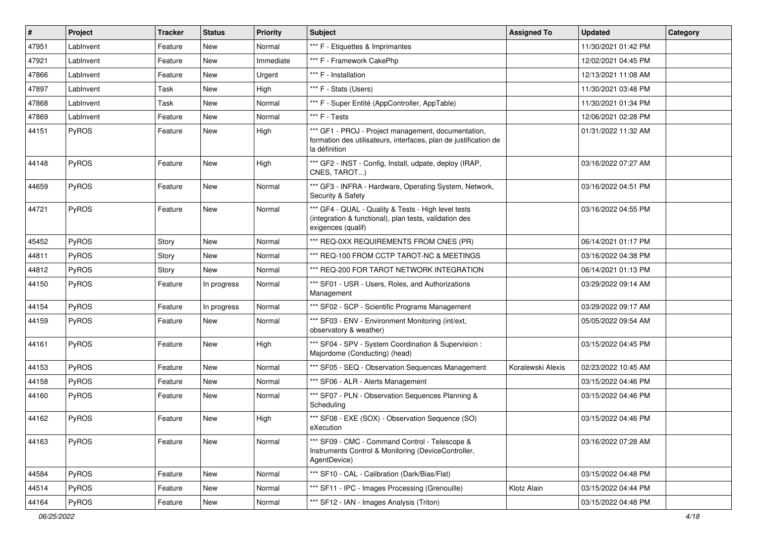| $\vert$ # | Project      | <b>Tracker</b> | <b>Status</b> | <b>Priority</b> | Subject                                                                                                                                  | <b>Assigned To</b> | <b>Updated</b>      | Category |
|-----------|--------------|----------------|---------------|-----------------|------------------------------------------------------------------------------------------------------------------------------------------|--------------------|---------------------|----------|
| 47951     | LabInvent    | Feature        | New           | Normal          | *** F - Etiquettes & Imprimantes                                                                                                         |                    | 11/30/2021 01:42 PM |          |
| 47921     | LabInvent    | Feature        | New           | Immediate       | *** F - Framework CakePhp                                                                                                                |                    | 12/02/2021 04:45 PM |          |
| 47866     | LabInvent    | Feature        | New           | Urgent          | *** F - Installation                                                                                                                     |                    | 12/13/2021 11:08 AM |          |
| 47897     | LabInvent    | Task           | New           | High            | *** F - Stats (Users)                                                                                                                    |                    | 11/30/2021 03:48 PM |          |
| 47868     | LabInvent    | Task           | <b>New</b>    | Normal          | *** F - Super Entité (AppController, AppTable)                                                                                           |                    | 11/30/2021 01:34 PM |          |
| 47869     | LabInvent    | Feature        | New           | Normal          | *** F - Tests                                                                                                                            |                    | 12/06/2021 02:28 PM |          |
| 44151     | PyROS        | Feature        | New           | High            | *** GF1 - PROJ - Project management, documentation,<br>formation des utilisateurs, interfaces, plan de justification de<br>la définition |                    | 01/31/2022 11:32 AM |          |
| 44148     | PyROS        | Feature        | New           | High            | *** GF2 - INST - Config, Install, udpate, deploy (IRAP,<br>CNES, TAROT)                                                                  |                    | 03/16/2022 07:27 AM |          |
| 44659     | PyROS        | Feature        | New           | Normal          | *** GF3 - INFRA - Hardware, Operating System, Network,<br>Security & Safety                                                              |                    | 03/16/2022 04:51 PM |          |
| 44721     | PyROS        | Feature        | New           | Normal          | *** GF4 - QUAL - Quality & Tests - High level tests<br>(integration & functional), plan tests, validation des<br>exigences (qualif)      |                    | 03/16/2022 04:55 PM |          |
| 45452     | <b>PyROS</b> | Story          | New           | Normal          | *** REQ-0XX REQUIREMENTS FROM CNES (PR)                                                                                                  |                    | 06/14/2021 01:17 PM |          |
| 44811     | PyROS        | Story          | New           | Normal          | *** REQ-100 FROM CCTP TAROT-NC & MEETINGS                                                                                                |                    | 03/16/2022 04:38 PM |          |
| 44812     | PyROS        | Story          | New           | Normal          | *** REQ-200 FOR TAROT NETWORK INTEGRATION                                                                                                |                    | 06/14/2021 01:13 PM |          |
| 44150     | PyROS        | Feature        | In progress   | Normal          | *** SF01 - USR - Users, Roles, and Authorizations<br>Management                                                                          |                    | 03/29/2022 09:14 AM |          |
| 44154     | PyROS        | Feature        | In progress   | Normal          | *** SF02 - SCP - Scientific Programs Management                                                                                          |                    | 03/29/2022 09:17 AM |          |
| 44159     | PyROS        | Feature        | New           | Normal          | *** SF03 - ENV - Environment Monitoring (int/ext,<br>observatory & weather)                                                              |                    | 05/05/2022 09:54 AM |          |
| 44161     | PyROS        | Feature        | New           | High            | *** SF04 - SPV - System Coordination & Supervision :<br>Majordome (Conducting) (head)                                                    |                    | 03/15/2022 04:45 PM |          |
| 44153     | PyROS        | Feature        | New           | Normal          | *** SF05 - SEQ - Observation Sequences Management                                                                                        | Koralewski Alexis  | 02/23/2022 10:45 AM |          |
| 44158     | PyROS        | Feature        | New           | Normal          | *** SF06 - ALR - Alerts Management                                                                                                       |                    | 03/15/2022 04:46 PM |          |
| 44160     | PyROS        | Feature        | New           | Normal          | *** SF07 - PLN - Observation Sequences Planning &<br>Scheduling                                                                          |                    | 03/15/2022 04:46 PM |          |
| 44162     | PyROS        | Feature        | New           | High            | *** SF08 - EXE (SOX) - Observation Sequence (SO)<br>eXecution                                                                            |                    | 03/15/2022 04:46 PM |          |
| 44163     | PyROS        | Feature        | New           | Normal          | *** SF09 - CMC - Command Control - Telescope &<br>Instruments Control & Monitoring (DeviceController,<br>AgentDevice)                    |                    | 03/16/2022 07:28 AM |          |
| 44584     | PyROS        | Feature        | New           | Normal          | *** SF10 - CAL - Calibration (Dark/Bias/Flat)                                                                                            |                    | 03/15/2022 04:48 PM |          |
| 44514     | PyROS        | Feature        | New           | Normal          | *** SF11 - IPC - Images Processing (Grenouille)                                                                                          | Klotz Alain        | 03/15/2022 04:44 PM |          |
| 44164     | PyROS        | Feature        | New           | Normal          | *** SF12 - IAN - Images Analysis (Triton)                                                                                                |                    | 03/15/2022 04:48 PM |          |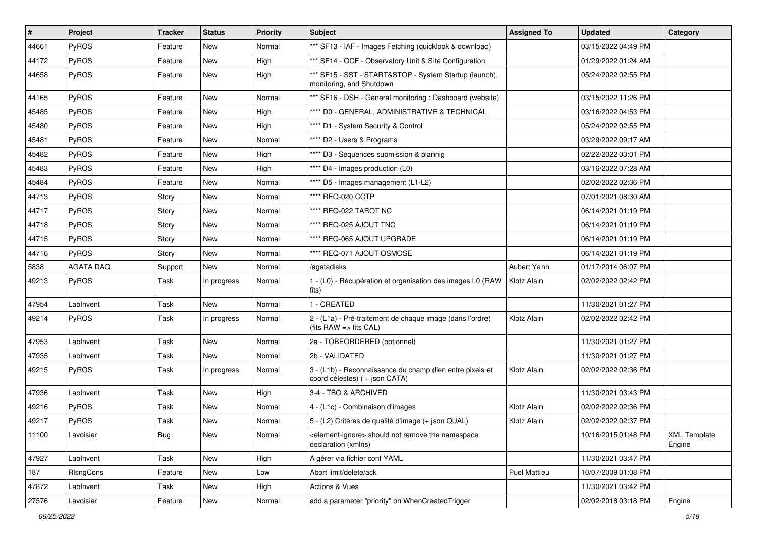| #     | Project          | <b>Tracker</b> | <b>Status</b> | <b>Priority</b> | <b>Subject</b>                                                                                    | <b>Assigned To</b> | <b>Updated</b>      | Category                      |
|-------|------------------|----------------|---------------|-----------------|---------------------------------------------------------------------------------------------------|--------------------|---------------------|-------------------------------|
| 44661 | PyROS            | Feature        | New           | Normal          | *** SF13 - IAF - Images Fetching (quicklook & download)                                           |                    | 03/15/2022 04:49 PM |                               |
| 44172 | PyROS            | Feature        | New           | High            | *** SF14 - OCF - Observatory Unit & Site Configuration                                            |                    | 01/29/2022 01:24 AM |                               |
| 44658 | <b>PyROS</b>     | Feature        | New           | High            | *** SF15 - SST - START&STOP - System Startup (launch),<br>monitoring, and Shutdown                |                    | 05/24/2022 02:55 PM |                               |
| 44165 | PyROS            | Feature        | <b>New</b>    | Normal          | *** SF16 - DSH - General monitoring : Dashboard (website)                                         |                    | 03/15/2022 11:26 PM |                               |
| 45485 | <b>PyROS</b>     | Feature        | New           | High            | **** D0 - GENERAL, ADMINISTRATIVE & TECHNICAL                                                     |                    | 03/16/2022 04:53 PM |                               |
| 45480 | PyROS            | Feature        | New           | High            | **** D1 - System Security & Control                                                               |                    | 05/24/2022 02:55 PM |                               |
| 45481 | PyROS            | Feature        | New           | Normal          | **** D2 - Users & Programs                                                                        |                    | 03/29/2022 09:17 AM |                               |
| 45482 | PyROS            | Feature        | New           | High            | **** D3 - Sequences submission & plannig                                                          |                    | 02/22/2022 03:01 PM |                               |
| 45483 | PyROS            | Feature        | New           | High            | **** D4 - Images production (L0)                                                                  |                    | 03/16/2022 07:28 AM |                               |
| 45484 | <b>PyROS</b>     | Feature        | New           | Normal          | **** D5 - Images management (L1-L2)                                                               |                    | 02/02/2022 02:36 PM |                               |
| 44713 | <b>PyROS</b>     | Story          | New           | Normal          | **** REQ-020 CCTP                                                                                 |                    | 07/01/2021 08:30 AM |                               |
| 44717 | PyROS            | Story          | New           | Normal          | **** REQ-022 TAROT NC                                                                             |                    | 06/14/2021 01:19 PM |                               |
| 44718 | PyROS            | Story          | New           | Normal          | **** REQ-025 AJOUT TNC                                                                            |                    | 06/14/2021 01:19 PM |                               |
| 44715 | PyROS            | Story          | New           | Normal          | **** REQ-065 AJOUT UPGRADE                                                                        |                    | 06/14/2021 01:19 PM |                               |
| 44716 | <b>PyROS</b>     | Story          | New           | Normal          | **** REQ-071 AJOUT OSMOSE                                                                         |                    | 06/14/2021 01:19 PM |                               |
| 5838  | <b>AGATA DAQ</b> | Support        | New           | Normal          | /agatadisks                                                                                       | Aubert Yann        | 01/17/2014 06:07 PM |                               |
| 49213 | PyROS            | Task           | In progress   | Normal          | 1 - (L0) - Récupération et organisation des images L0 (RAW<br>fits)                               | Klotz Alain        | 02/02/2022 02:42 PM |                               |
| 47954 | LabInvent        | Task           | New           | Normal          | 1 - CREATED                                                                                       |                    | 11/30/2021 01:27 PM |                               |
| 49214 | <b>PyROS</b>     | Task           | In progress   | Normal          | 2 - (L1a) - Pré-traitement de chaque image (dans l'ordre)<br>(fits $RAW \Rightarrow$ fits $CAL$ ) | Klotz Alain        | 02/02/2022 02:42 PM |                               |
| 47953 | LabInvent        | Task           | New           | Normal          | 2a - TOBEORDERED (optionnel)                                                                      |                    | 11/30/2021 01:27 PM |                               |
| 47935 | LabInvent        | Task           | New           | Normal          | 2b - VALIDATED                                                                                    |                    | 11/30/2021 01:27 PM |                               |
| 49215 | <b>PyROS</b>     | Task           | In progress   | Normal          | 3 - (L1b) - Reconnaissance du champ (lien entre pixels et<br>coord célestes) (+ json CATA)        | Klotz Alain        | 02/02/2022 02:36 PM |                               |
| 47936 | LabInvent        | Task           | New           | High            | 3-4 - TBO & ARCHIVED                                                                              |                    | 11/30/2021 03:43 PM |                               |
| 49216 | <b>PyROS</b>     | Task           | New           | Normal          | 4 - (L1c) - Combinaison d'images                                                                  | Klotz Alain        | 02/02/2022 02:36 PM |                               |
| 49217 | <b>PyROS</b>     | Task           | New           | Normal          | 5 - (L2) Critères de qualité d'image (+ json QUAL)                                                | Klotz Alain        | 02/02/2022 02:37 PM |                               |
| 11100 | Lavoisier        | <b>Bug</b>     | New           | Normal          | <element-ignore> should not remove the namespace<br/>declaration (xmlns)</element-ignore>         |                    | 10/16/2015 01:48 PM | <b>XML Template</b><br>Engine |
| 47927 | LabInvent        | Task           | New           | High            | A gérer via fichier conf YAML                                                                     |                    | 11/30/2021 03:47 PM |                               |
| 187   | RIsngCons        | Feature        | New           | Low             | Abort limit/delete/ack                                                                            | Puel Mattieu       | 10/07/2009 01:08 PM |                               |
| 47872 | LabInvent        | Task           | New           | High            | Actions & Vues                                                                                    |                    | 11/30/2021 03:42 PM |                               |
| 27576 | Lavoisier        | Feature        | New           | Normal          | add a parameter "priority" on WhenCreatedTrigger                                                  |                    | 02/02/2018 03:18 PM | Engine                        |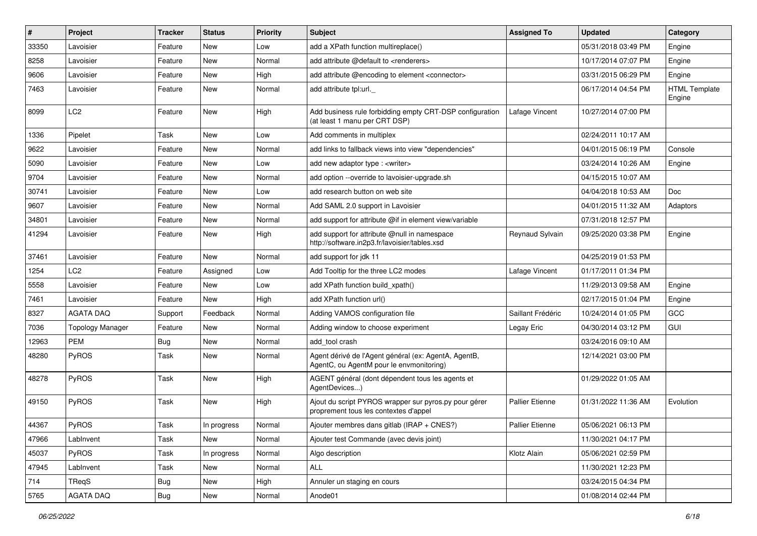| $\sharp$ | Project                 | Tracker    | <b>Status</b> | <b>Priority</b> | Subject                                                                                          | <b>Assigned To</b>     | <b>Updated</b>      | Category                       |
|----------|-------------------------|------------|---------------|-----------------|--------------------------------------------------------------------------------------------------|------------------------|---------------------|--------------------------------|
| 33350    | Lavoisier               | Feature    | New           | Low             | add a XPath function multireplace()                                                              |                        | 05/31/2018 03:49 PM | Engine                         |
| 8258     | Lavoisier               | Feature    | New           | Normal          | add attribute @default to <renderers></renderers>                                                |                        | 10/17/2014 07:07 PM | Engine                         |
| 9606     | Lavoisier               | Feature    | New           | High            | add attribute @encoding to element <connector></connector>                                       |                        | 03/31/2015 06:29 PM | Engine                         |
| 7463     | Lavoisier               | Feature    | <b>New</b>    | Normal          | add attribute tpl:url.                                                                           |                        | 06/17/2014 04:54 PM | <b>HTML Template</b><br>Engine |
| 8099     | LC <sub>2</sub>         | Feature    | <b>New</b>    | High            | Add business rule forbidding empty CRT-DSP configuration<br>(at least 1 manu per CRT DSP)        | Lafage Vincent         | 10/27/2014 07:00 PM |                                |
| 1336     | Pipelet                 | Task       | New           | Low             | Add comments in multiplex                                                                        |                        | 02/24/2011 10:17 AM |                                |
| 9622     | Lavoisier               | Feature    | New           | Normal          | add links to fallback views into view "dependencies"                                             |                        | 04/01/2015 06:19 PM | Console                        |
| 5090     | Lavoisier               | Feature    | <b>New</b>    | Low             | add new adaptor type : < writer>                                                                 |                        | 03/24/2014 10:26 AM | Engine                         |
| 9704     | Lavoisier               | Feature    | New           | Normal          | add option --override to lavoisier-upgrade.sh                                                    |                        | 04/15/2015 10:07 AM |                                |
| 30741    | Lavoisier               | Feature    | New           | Low             | add research button on web site                                                                  |                        | 04/04/2018 10:53 AM | Doc                            |
| 9607     | Lavoisier               | Feature    | New           | Normal          | Add SAML 2.0 support in Lavoisier                                                                |                        | 04/01/2015 11:32 AM | Adaptors                       |
| 34801    | Lavoisier               | Feature    | New           | Normal          | add support for attribute @if in element view/variable                                           |                        | 07/31/2018 12:57 PM |                                |
| 41294    | Lavoisier               | Feature    | <b>New</b>    | High            | add support for attribute @null in namespace<br>http://software.in2p3.fr/lavoisier/tables.xsd    | Reynaud Sylvain        | 09/25/2020 03:38 PM | Engine                         |
| 37461    | Lavoisier               | Feature    | <b>New</b>    | Normal          | add support for jdk 11                                                                           |                        | 04/25/2019 01:53 PM |                                |
| 1254     | LC2                     | Feature    | Assigned      | Low             | Add Tooltip for the three LC2 modes                                                              | Lafage Vincent         | 01/17/2011 01:34 PM |                                |
| 5558     | Lavoisier               | Feature    | New           | Low             | add XPath function build xpath()                                                                 |                        | 11/29/2013 09:58 AM | Engine                         |
| 7461     | Lavoisier               | Feature    | <b>New</b>    | High            | add XPath function url()                                                                         |                        | 02/17/2015 01:04 PM | Engine                         |
| 8327     | <b>AGATA DAQ</b>        | Support    | Feedback      | Normal          | Adding VAMOS configuration file                                                                  | Saillant Frédéric      | 10/24/2014 01:05 PM | GCC                            |
| 7036     | <b>Topology Manager</b> | Feature    | New           | Normal          | Adding window to choose experiment                                                               | Legay Eric             | 04/30/2014 03:12 PM | GUI                            |
| 12963    | <b>PEM</b>              | <b>Bug</b> | <b>New</b>    | Normal          | add_tool crash                                                                                   |                        | 03/24/2016 09:10 AM |                                |
| 48280    | PyROS                   | Task       | New           | Normal          | Agent dérivé de l'Agent général (ex: AgentA, AgentB,<br>AgentC, ou AgentM pour le envmonitoring) |                        | 12/14/2021 03:00 PM |                                |
| 48278    | PyROS                   | Task       | New           | High            | AGENT général (dont dépendent tous les agents et<br>AgentDevices)                                |                        | 01/29/2022 01:05 AM |                                |
| 49150    | PyROS                   | Task       | <b>New</b>    | High            | Ajout du script PYROS wrapper sur pyros.py pour gérer<br>proprement tous les contextes d'appel   | <b>Pallier Etienne</b> | 01/31/2022 11:36 AM | Evolution                      |
| 44367    | PyROS                   | Task       | In progress   | Normal          | Ajouter membres dans gitlab (IRAP + CNES?)                                                       | <b>Pallier Etienne</b> | 05/06/2021 06:13 PM |                                |
| 47966    | LabInvent               | Task       | New           | Normal          | Ajouter test Commande (avec devis joint)                                                         |                        | 11/30/2021 04:17 PM |                                |
| 45037    | PyROS                   | Task       | In progress   | Normal          | Algo description                                                                                 | Klotz Alain            | 05/06/2021 02:59 PM |                                |
| 47945    | LabInvent               | Task       | New           | Normal          | ALL                                                                                              |                        | 11/30/2021 12:23 PM |                                |
| 714      | TReqS                   | <b>Bug</b> | New           | High            | Annuler un staging en cours                                                                      |                        | 03/24/2015 04:34 PM |                                |
| 5765     | AGATA DAQ               | Bug        | New           | Normal          | Anode01                                                                                          |                        | 01/08/2014 02:44 PM |                                |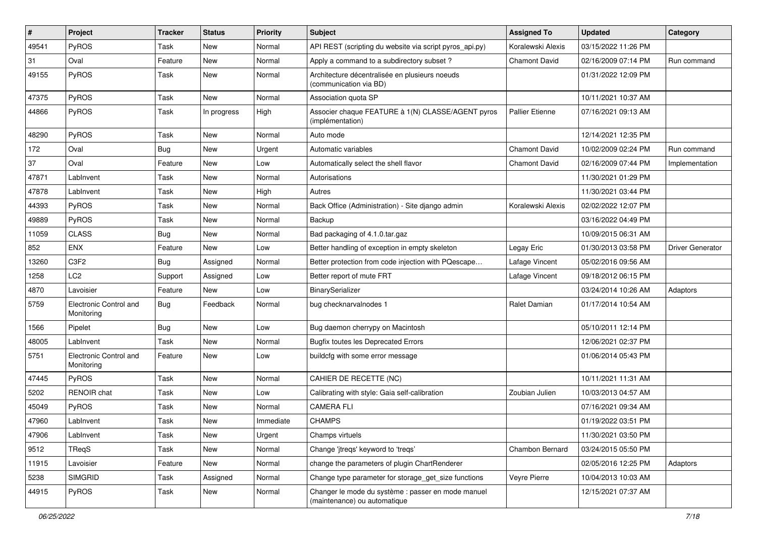| $\sharp$ | Project                              | Tracker    | <b>Status</b> | <b>Priority</b> | <b>Subject</b>                                                                     | <b>Assigned To</b>     | <b>Updated</b>      | Category                |
|----------|--------------------------------------|------------|---------------|-----------------|------------------------------------------------------------------------------------|------------------------|---------------------|-------------------------|
| 49541    | PyROS                                | Task       | <b>New</b>    | Normal          | API REST (scripting du website via script pyros_api.py)                            | Koralewski Alexis      | 03/15/2022 11:26 PM |                         |
| 31       | Oval                                 | Feature    | <b>New</b>    | Normal          | Apply a command to a subdirectory subset?                                          | <b>Chamont David</b>   | 02/16/2009 07:14 PM | Run command             |
| 49155    | <b>PyROS</b>                         | Task       | New           | Normal          | Architecture décentralisée en plusieurs noeuds<br>(communication via BD)           |                        | 01/31/2022 12:09 PM |                         |
| 47375    | PyROS                                | Task       | <b>New</b>    | Normal          | Association quota SP                                                               |                        | 10/11/2021 10:37 AM |                         |
| 44866    | PyROS                                | Task       | In progress   | High            | Associer chaque FEATURE à 1(N) CLASSE/AGENT pyros<br>(implémentation)              | <b>Pallier Etienne</b> | 07/16/2021 09:13 AM |                         |
| 48290    | PyROS                                | Task       | New           | Normal          | Auto mode                                                                          |                        | 12/14/2021 12:35 PM |                         |
| 172      | Oval                                 | <b>Bug</b> | <b>New</b>    | Urgent          | Automatic variables                                                                | <b>Chamont David</b>   | 10/02/2009 02:24 PM | Run command             |
| 37       | Oval                                 | Feature    | <b>New</b>    | Low             | Automatically select the shell flavor                                              | <b>Chamont David</b>   | 02/16/2009 07:44 PM | Implementation          |
| 47871    | LabInvent                            | Task       | <b>New</b>    | Normal          | Autorisations                                                                      |                        | 11/30/2021 01:29 PM |                         |
| 47878    | LabInvent                            | Task       | New           | High            | Autres                                                                             |                        | 11/30/2021 03:44 PM |                         |
| 44393    | PyROS                                | Task       | <b>New</b>    | Normal          | Back Office (Administration) - Site django admin                                   | Koralewski Alexis      | 02/02/2022 12:07 PM |                         |
| 49889    | PyROS                                | Task       | <b>New</b>    | Normal          | Backup                                                                             |                        | 03/16/2022 04:49 PM |                         |
| 11059    | <b>CLASS</b>                         | <b>Bug</b> | <b>New</b>    | Normal          | Bad packaging of 4.1.0.tar.gaz                                                     |                        | 10/09/2015 06:31 AM |                         |
| 852      | <b>ENX</b>                           | Feature    | New           | Low             | Better handling of exception in empty skeleton                                     | Legay Eric             | 01/30/2013 03:58 PM | <b>Driver Generator</b> |
| 13260    | C3F2                                 | <b>Bug</b> | Assigned      | Normal          | Better protection from code injection with PQescape                                | Lafage Vincent         | 05/02/2016 09:56 AM |                         |
| 1258     | LC <sub>2</sub>                      | Support    | Assigned      | Low             | Better report of mute FRT                                                          | Lafage Vincent         | 09/18/2012 06:15 PM |                         |
| 4870     | Lavoisier                            | Feature    | New           | Low             | BinarySerializer                                                                   |                        | 03/24/2014 10:26 AM | Adaptors                |
| 5759     | Electronic Control and<br>Monitoring | <b>Bug</b> | Feedback      | Normal          | bug checknarvalnodes 1                                                             | Ralet Damian           | 01/17/2014 10:54 AM |                         |
| 1566     | Pipelet                              | <b>Bug</b> | <b>New</b>    | Low             | Bug daemon cherrypy on Macintosh                                                   |                        | 05/10/2011 12:14 PM |                         |
| 48005    | LabInvent                            | Task       | <b>New</b>    | Normal          | <b>Bugfix toutes les Deprecated Errors</b>                                         |                        | 12/06/2021 02:37 PM |                         |
| 5751     | Electronic Control and<br>Monitoring | Feature    | New           | Low             | buildcfg with some error message                                                   |                        | 01/06/2014 05:43 PM |                         |
| 47445    | PyROS                                | Task       | <b>New</b>    | Normal          | CAHIER DE RECETTE (NC)                                                             |                        | 10/11/2021 11:31 AM |                         |
| 5202     | RENOIR chat                          | Task       | <b>New</b>    | Low             | Calibrating with style: Gaia self-calibration                                      | Zoubian Julien         | 10/03/2013 04:57 AM |                         |
| 45049    | PyROS                                | Task       | New           | Normal          | <b>CAMERA FLI</b>                                                                  |                        | 07/16/2021 09:34 AM |                         |
| 47960    | LabInvent                            | Task       | New           | Immediate       | <b>CHAMPS</b>                                                                      |                        | 01/19/2022 03:51 PM |                         |
| 47906    | LabInvent                            | Task       | New           | Urgent          | Champs virtuels                                                                    |                        | 11/30/2021 03:50 PM |                         |
| 9512     | <b>TReqS</b>                         | Task       | <b>New</b>    | Normal          | Change 'jtreqs' keyword to 'treqs'                                                 | Chambon Bernard        | 03/24/2015 05:50 PM |                         |
| 11915    | Lavoisier                            | Feature    | New           | Normal          | change the parameters of plugin ChartRenderer                                      |                        | 02/05/2016 12:25 PM | Adaptors                |
| 5238     | <b>SIMGRID</b>                       | Task       | Assigned      | Normal          | Change type parameter for storage_get_size functions                               | Veyre Pierre           | 10/04/2013 10:03 AM |                         |
| 44915    | PyROS                                | Task       | New           | Normal          | Changer le mode du système : passer en mode manuel<br>(maintenance) ou automatique |                        | 12/15/2021 07:37 AM |                         |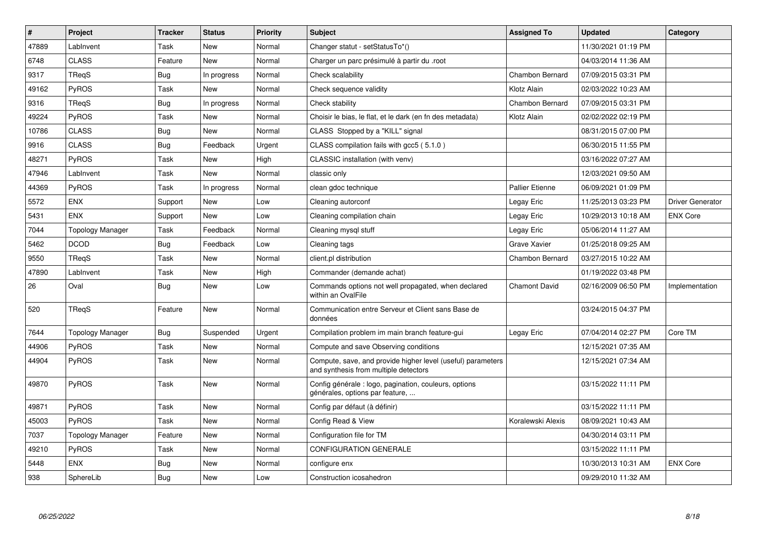| $\vert$ # | Project                 | <b>Tracker</b> | <b>Status</b> | Priority | <b>Subject</b>                                                                                       | <b>Assigned To</b>     | <b>Updated</b>      | Category         |
|-----------|-------------------------|----------------|---------------|----------|------------------------------------------------------------------------------------------------------|------------------------|---------------------|------------------|
| 47889     | LabInvent               | Task           | <b>New</b>    | Normal   | Changer statut - setStatusTo*()                                                                      |                        | 11/30/2021 01:19 PM |                  |
| 6748      | <b>CLASS</b>            | Feature        | <b>New</b>    | Normal   | Charger un parc présimulé à partir du .root                                                          |                        | 04/03/2014 11:36 AM |                  |
| 9317      | TReqS                   | Bug            | In progress   | Normal   | Check scalability                                                                                    | Chambon Bernard        | 07/09/2015 03:31 PM |                  |
| 49162     | PyROS                   | Task           | <b>New</b>    | Normal   | Check sequence validity                                                                              | Klotz Alain            | 02/03/2022 10:23 AM |                  |
| 9316      | TReqS                   | <b>Bug</b>     | In progress   | Normal   | Check stability                                                                                      | Chambon Bernard        | 07/09/2015 03:31 PM |                  |
| 49224     | PyROS                   | Task           | <b>New</b>    | Normal   | Choisir le bias, le flat, et le dark (en fn des metadata)                                            | Klotz Alain            | 02/02/2022 02:19 PM |                  |
| 10786     | <b>CLASS</b>            | <b>Bug</b>     | <b>New</b>    | Normal   | CLASS Stopped by a "KILL" signal                                                                     |                        | 08/31/2015 07:00 PM |                  |
| 9916      | <b>CLASS</b>            | <b>Bug</b>     | Feedback      | Urgent   | CLASS compilation fails with gcc5 (5.1.0)                                                            |                        | 06/30/2015 11:55 PM |                  |
| 48271     | PyROS                   | Task           | <b>New</b>    | High     | CLASSIC installation (with venv)                                                                     |                        | 03/16/2022 07:27 AM |                  |
| 47946     | LabInvent               | Task           | <b>New</b>    | Normal   | classic only                                                                                         |                        | 12/03/2021 09:50 AM |                  |
| 44369     | PyROS                   | Task           | In progress   | Normal   | clean gdoc technique                                                                                 | <b>Pallier Etienne</b> | 06/09/2021 01:09 PM |                  |
| 5572      | <b>ENX</b>              | Support        | <b>New</b>    | Low      | Cleaning autorconf                                                                                   | Legay Eric             | 11/25/2013 03:23 PM | Driver Generator |
| 5431      | <b>ENX</b>              | Support        | <b>New</b>    | Low      | Cleaning compilation chain                                                                           | Legay Eric             | 10/29/2013 10:18 AM | <b>ENX Core</b>  |
| 7044      | <b>Topology Manager</b> | Task           | Feedback      | Normal   | Cleaning mysql stuff                                                                                 | Legay Eric             | 05/06/2014 11:27 AM |                  |
| 5462      | <b>DCOD</b>             | <b>Bug</b>     | Feedback      | Low      | Cleaning tags                                                                                        | Grave Xavier           | 01/25/2018 09:25 AM |                  |
| 9550      | TRegS                   | Task           | <b>New</b>    | Normal   | client.pl distribution                                                                               | Chambon Bernard        | 03/27/2015 10:22 AM |                  |
| 47890     | LabInvent               | Task           | <b>New</b>    | High     | Commander (demande achat)                                                                            |                        | 01/19/2022 03:48 PM |                  |
| 26        | Oval                    | <b>Bug</b>     | <b>New</b>    | Low      | Commands options not well propagated, when declared<br>within an OvalFile                            | <b>Chamont David</b>   | 02/16/2009 06:50 PM | Implementation   |
| 520       | TReqS                   | Feature        | <b>New</b>    | Normal   | Communication entre Serveur et Client sans Base de<br>données                                        |                        | 03/24/2015 04:37 PM |                  |
| 7644      | <b>Topology Manager</b> | <b>Bug</b>     | Suspended     | Urgent   | Compilation problem im main branch feature-gui                                                       | Legay Eric             | 07/04/2014 02:27 PM | Core TM          |
| 44906     | <b>PyROS</b>            | Task           | <b>New</b>    | Normal   | Compute and save Observing conditions                                                                |                        | 12/15/2021 07:35 AM |                  |
| 44904     | <b>PyROS</b>            | Task           | <b>New</b>    | Normal   | Compute, save, and provide higher level (useful) parameters<br>and synthesis from multiple detectors |                        | 12/15/2021 07:34 AM |                  |
| 49870     | PyROS                   | Task           | <b>New</b>    | Normal   | Config générale : logo, pagination, couleurs, options<br>générales, options par feature,             |                        | 03/15/2022 11:11 PM |                  |
| 49871     | PyROS                   | Task           | <b>New</b>    | Normal   | Config par défaut (à définir)                                                                        |                        | 03/15/2022 11:11 PM |                  |
| 45003     | <b>PyROS</b>            | Task           | New           | Normal   | Config Read & View                                                                                   | Koralewski Alexis      | 08/09/2021 10:43 AM |                  |
| 7037      | <b>Topology Manager</b> | Feature        | <b>New</b>    | Normal   | Configuration file for TM                                                                            |                        | 04/30/2014 03:11 PM |                  |
| 49210     | <b>PyROS</b>            | Task           | <b>New</b>    | Normal   | <b>CONFIGURATION GENERALE</b>                                                                        |                        | 03/15/2022 11:11 PM |                  |
| 5448      | <b>ENX</b>              | <b>Bug</b>     | <b>New</b>    | Normal   | configure enx                                                                                        |                        | 10/30/2013 10:31 AM | <b>ENX Core</b>  |
| 938       | SphereLib               | <b>Bug</b>     | <b>New</b>    | Low      | Construction icosahedron                                                                             |                        | 09/29/2010 11:32 AM |                  |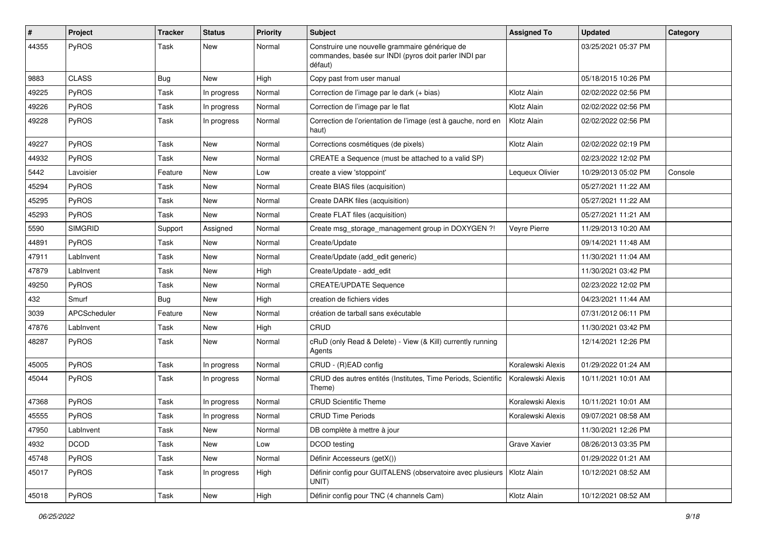| #     | Project        | <b>Tracker</b> | <b>Status</b> | <b>Priority</b> | Subject                                                                                                            | <b>Assigned To</b> | <b>Updated</b>      | Category |
|-------|----------------|----------------|---------------|-----------------|--------------------------------------------------------------------------------------------------------------------|--------------------|---------------------|----------|
| 44355 | PyROS          | Task           | New           | Normal          | Construire une nouvelle grammaire générique de<br>commandes, basée sur INDI (pyros doit parler INDI par<br>défaut) |                    | 03/25/2021 05:37 PM |          |
| 9883  | <b>CLASS</b>   | <b>Bug</b>     | New           | High            | Copy past from user manual                                                                                         |                    | 05/18/2015 10:26 PM |          |
| 49225 | PyROS          | Task           | In progress   | Normal          | Correction de l'image par le dark (+ bias)                                                                         | Klotz Alain        | 02/02/2022 02:56 PM |          |
| 49226 | PyROS          | Task           | In progress   | Normal          | Correction de l'image par le flat                                                                                  | Klotz Alain        | 02/02/2022 02:56 PM |          |
| 49228 | PyROS          | Task           | In progress   | Normal          | Correction de l'orientation de l'image (est à gauche, nord en<br>haut)                                             | Klotz Alain        | 02/02/2022 02:56 PM |          |
| 49227 | PyROS          | Task           | <b>New</b>    | Normal          | Corrections cosmétiques (de pixels)                                                                                | Klotz Alain        | 02/02/2022 02:19 PM |          |
| 44932 | PyROS          | Task           | New           | Normal          | CREATE a Sequence (must be attached to a valid SP)                                                                 |                    | 02/23/2022 12:02 PM |          |
| 5442  | Lavoisier      | Feature        | New           | Low             | create a view 'stoppoint'                                                                                          | Lequeux Olivier    | 10/29/2013 05:02 PM | Console  |
| 45294 | PyROS          | Task           | New           | Normal          | Create BIAS files (acquisition)                                                                                    |                    | 05/27/2021 11:22 AM |          |
| 45295 | PyROS          | Task           | New           | Normal          | Create DARK files (acquisition)                                                                                    |                    | 05/27/2021 11:22 AM |          |
| 45293 | PyROS          | Task           | New           | Normal          | Create FLAT files (acquisition)                                                                                    |                    | 05/27/2021 11:21 AM |          |
| 5590  | <b>SIMGRID</b> | Support        | Assigned      | Normal          | Create msg_storage_management group in DOXYGEN ?!                                                                  | Veyre Pierre       | 11/29/2013 10:20 AM |          |
| 44891 | PyROS          | Task           | New           | Normal          | Create/Update                                                                                                      |                    | 09/14/2021 11:48 AM |          |
| 47911 | LabInvent      | Task           | New           | Normal          | Create/Update (add edit generic)                                                                                   |                    | 11/30/2021 11:04 AM |          |
| 47879 | LabInvent      | Task           | New           | High            | Create/Update - add edit                                                                                           |                    | 11/30/2021 03:42 PM |          |
| 49250 | <b>PyROS</b>   | Task           | New           | Normal          | <b>CREATE/UPDATE Sequence</b>                                                                                      |                    | 02/23/2022 12:02 PM |          |
| 432   | Smurf          | <b>Bug</b>     | New           | High            | creation de fichiers vides                                                                                         |                    | 04/23/2021 11:44 AM |          |
| 3039  | APCScheduler   | Feature        | New           | Normal          | création de tarball sans exécutable                                                                                |                    | 07/31/2012 06:11 PM |          |
| 47876 | LabInvent      | Task           | New           | High            | <b>CRUD</b>                                                                                                        |                    | 11/30/2021 03:42 PM |          |
| 48287 | PyROS          | Task           | New           | Normal          | cRuD (only Read & Delete) - View (& Kill) currently running<br>Agents                                              |                    | 12/14/2021 12:26 PM |          |
| 45005 | PyROS          | Task           | In progress   | Normal          | CRUD - (R)EAD config                                                                                               | Koralewski Alexis  | 01/29/2022 01:24 AM |          |
| 45044 | PyROS          | Task           | In progress   | Normal          | CRUD des autres entités (Institutes, Time Periods, Scientific<br>Theme)                                            | Koralewski Alexis  | 10/11/2021 10:01 AM |          |
| 47368 | PyROS          | Task           | In progress   | Normal          | <b>CRUD Scientific Theme</b>                                                                                       | Koralewski Alexis  | 10/11/2021 10:01 AM |          |
| 45555 | PyROS          | Task           | In progress   | Normal          | <b>CRUD Time Periods</b>                                                                                           | Koralewski Alexis  | 09/07/2021 08:58 AM |          |
| 47950 | Lablnvent      | Task           | New           | Normal          | DB complète à mettre à jour                                                                                        |                    | 11/30/2021 12:26 PM |          |
| 4932  | <b>DCOD</b>    | Task           | New           | Low             | DCOD testing                                                                                                       | Grave Xavier       | 08/26/2013 03:35 PM |          |
| 45748 | PyROS          | Task           | New           | Normal          | Définir Accesseurs (getX())                                                                                        |                    | 01/29/2022 01:21 AM |          |
| 45017 | PyROS          | Task           | In progress   | High            | Définir config pour GUITALENS (observatoire avec plusieurs<br>UNIT)                                                | Klotz Alain        | 10/12/2021 08:52 AM |          |
| 45018 | PyROS          | Task           | New           | High            | Définir config pour TNC (4 channels Cam)                                                                           | Klotz Alain        | 10/12/2021 08:52 AM |          |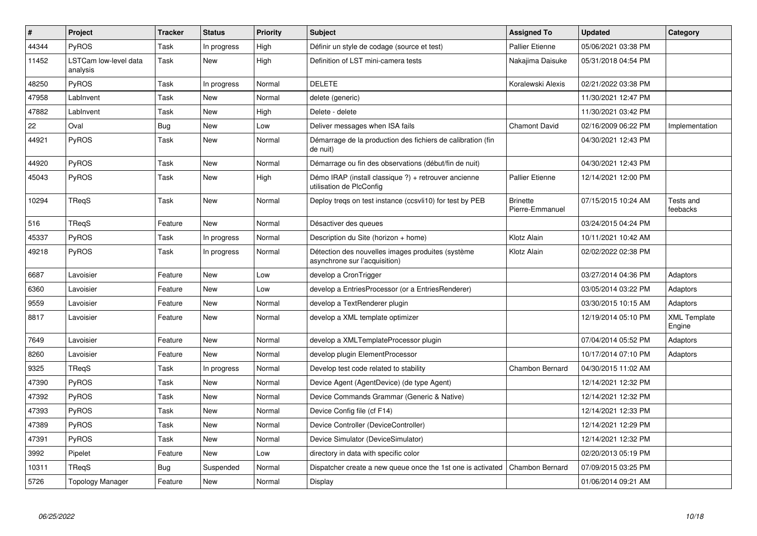| $\sharp$ | <b>Project</b>                    | <b>Tracker</b> | <b>Status</b> | <b>Priority</b> | <b>Subject</b>                                                                     | <b>Assigned To</b>                 | <b>Updated</b>      | Category                      |
|----------|-----------------------------------|----------------|---------------|-----------------|------------------------------------------------------------------------------------|------------------------------------|---------------------|-------------------------------|
| 44344    | <b>PyROS</b>                      | Task           | In progress   | High            | Définir un style de codage (source et test)                                        | Pallier Etienne                    | 05/06/2021 03:38 PM |                               |
| 11452    | LSTCam low-level data<br>analysis | Task           | New           | High            | Definition of LST mini-camera tests                                                | Nakajima Daisuke                   | 05/31/2018 04:54 PM |                               |
| 48250    | PyROS                             | Task           | In progress   | Normal          | <b>DELETE</b>                                                                      | Koralewski Alexis                  | 02/21/2022 03:38 PM |                               |
| 47958    | LabInvent                         | Task           | New           | Normal          | delete (generic)                                                                   |                                    | 11/30/2021 12:47 PM |                               |
| 47882    | LabInvent                         | Task           | <b>New</b>    | High            | Delete - delete                                                                    |                                    | 11/30/2021 03:42 PM |                               |
| 22       | Oval                              | Bug            | New           | Low             | Deliver messages when ISA fails                                                    | <b>Chamont David</b>               | 02/16/2009 06:22 PM | Implementation                |
| 44921    | PyROS                             | Task           | <b>New</b>    | Normal          | Démarrage de la production des fichiers de calibration (fin<br>de nuit)            |                                    | 04/30/2021 12:43 PM |                               |
| 44920    | PyROS                             | Task           | <b>New</b>    | Normal          | Démarrage ou fin des observations (début/fin de nuit)                              |                                    | 04/30/2021 12:43 PM |                               |
| 45043    | <b>PyROS</b>                      | Task           | <b>New</b>    | High            | Démo IRAP (install classique ?) + retrouver ancienne<br>utilisation de PlcConfig   | <b>Pallier Etienne</b>             | 12/14/2021 12:00 PM |                               |
| 10294    | TReqS                             | Task           | New           | Normal          | Deploy tregs on test instance (ccsvli10) for test by PEB                           | <b>Brinette</b><br>Pierre-Emmanuel | 07/15/2015 10:24 AM | Tests and<br>feebacks         |
| 516      | TReqS                             | Feature        | New           | Normal          | Désactiver des queues                                                              |                                    | 03/24/2015 04:24 PM |                               |
| 45337    | <b>PyROS</b>                      | Task           | In progress   | Normal          | Description du Site (horizon + home)                                               | Klotz Alain                        | 10/11/2021 10:42 AM |                               |
| 49218    | PyROS                             | Task           | In progress   | Normal          | Détection des nouvelles images produites (système<br>asynchrone sur l'acquisition) | Klotz Alain                        | 02/02/2022 02:38 PM |                               |
| 6687     | Lavoisier                         | Feature        | New           | Low             | develop a CronTrigger                                                              |                                    | 03/27/2014 04:36 PM | Adaptors                      |
| 6360     | Lavoisier                         | Feature        | <b>New</b>    | Low             | develop a EntriesProcessor (or a EntriesRenderer)                                  |                                    | 03/05/2014 03:22 PM | Adaptors                      |
| 9559     | Lavoisier                         | Feature        | <b>New</b>    | Normal          | develop a TextRenderer plugin                                                      |                                    | 03/30/2015 10:15 AM | Adaptors                      |
| 8817     | Lavoisier                         | Feature        | New           | Normal          | develop a XML template optimizer                                                   |                                    | 12/19/2014 05:10 PM | <b>XML Template</b><br>Engine |
| 7649     | Lavoisier                         | Feature        | New           | Normal          | develop a XMLTemplateProcessor plugin                                              |                                    | 07/04/2014 05:52 PM | Adaptors                      |
| 8260     | Lavoisier                         | Feature        | New           | Normal          | develop plugin ElementProcessor                                                    |                                    | 10/17/2014 07:10 PM | Adaptors                      |
| 9325     | <b>TRegS</b>                      | Task           | In progress   | Normal          | Develop test code related to stability                                             | Chambon Bernard                    | 04/30/2015 11:02 AM |                               |
| 47390    | <b>PyROS</b>                      | Task           | <b>New</b>    | Normal          | Device Agent (AgentDevice) (de type Agent)                                         |                                    | 12/14/2021 12:32 PM |                               |
| 47392    | PyROS                             | Task           | <b>New</b>    | Normal          | Device Commands Grammar (Generic & Native)                                         |                                    | 12/14/2021 12:32 PM |                               |
| 47393    | <b>PyROS</b>                      | Task           | New           | Normal          | Device Config file (cf F14)                                                        |                                    | 12/14/2021 12:33 PM |                               |
| 47389    | PyROS                             | Task           | New           | Normal          | Device Controller (DeviceController)                                               |                                    | 12/14/2021 12:29 PM |                               |
| 47391    | <b>PyROS</b>                      | Task           | New           | Normal          | Device Simulator (DeviceSimulator)                                                 |                                    | 12/14/2021 12:32 PM |                               |
| 3992     | Pipelet                           | Feature        | New           | Low             | directory in data with specific color                                              |                                    | 02/20/2013 05:19 PM |                               |
| 10311    | <b>TRegS</b>                      | Bug            | Suspended     | Normal          | Dispatcher create a new queue once the 1st one is activated                        | <b>Chambon Bernard</b>             | 07/09/2015 03:25 PM |                               |
| 5726     | Topology Manager                  | Feature        | <b>New</b>    | Normal          | Display                                                                            |                                    | 01/06/2014 09:21 AM |                               |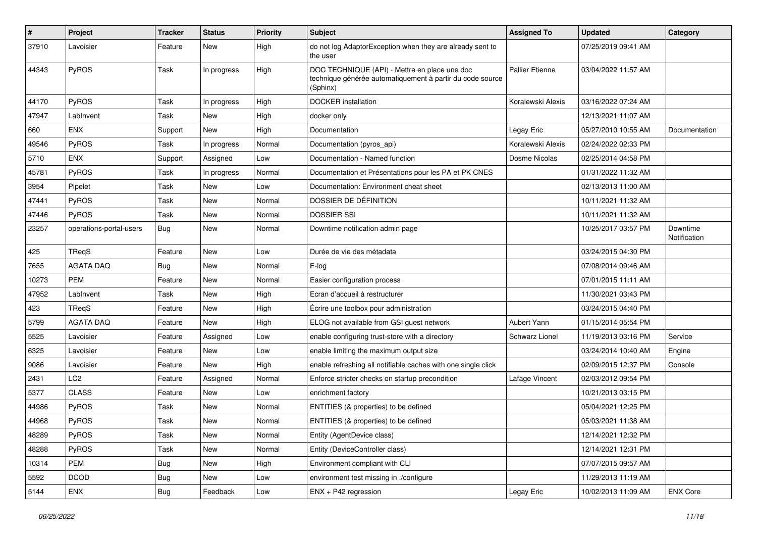| #     | Project                 | Tracker    | <b>Status</b> | <b>Priority</b> | Subject                                                                                                                | <b>Assigned To</b>     | <b>Updated</b>      | Category                 |
|-------|-------------------------|------------|---------------|-----------------|------------------------------------------------------------------------------------------------------------------------|------------------------|---------------------|--------------------------|
| 37910 | Lavoisier               | Feature    | New           | High            | do not log AdaptorException when they are already sent to<br>the user                                                  |                        | 07/25/2019 09:41 AM |                          |
| 44343 | PyROS                   | Task       | In progress   | High            | DOC TECHNIQUE (API) - Mettre en place une doc<br>technique générée automatiquement à partir du code source<br>(Sphinx) | <b>Pallier Etienne</b> | 03/04/2022 11:57 AM |                          |
| 44170 | PyROS                   | Task       | In progress   | High            | DOCKER installation                                                                                                    | Koralewski Alexis      | 03/16/2022 07:24 AM |                          |
| 47947 | LabInvent               | Task       | New           | High            | docker only                                                                                                            |                        | 12/13/2021 11:07 AM |                          |
| 660   | <b>ENX</b>              | Support    | New           | High            | Documentation                                                                                                          | Legay Eric             | 05/27/2010 10:55 AM | Documentation            |
| 49546 | PyROS                   | Task       | In progress   | Normal          | Documentation (pyros_api)                                                                                              | Koralewski Alexis      | 02/24/2022 02:33 PM |                          |
| 5710  | <b>ENX</b>              | Support    | Assigned      | Low             | Documentation - Named function                                                                                         | Dosme Nicolas          | 02/25/2014 04:58 PM |                          |
| 45781 | PyROS                   | Task       | In progress   | Normal          | Documentation et Présentations pour les PA et PK CNES                                                                  |                        | 01/31/2022 11:32 AM |                          |
| 3954  | Pipelet                 | Task       | New           | Low             | Documentation: Environment cheat sheet                                                                                 |                        | 02/13/2013 11:00 AM |                          |
| 47441 | PyROS                   | Task       | New           | Normal          | DOSSIER DE DÉFINITION                                                                                                  |                        | 10/11/2021 11:32 AM |                          |
| 47446 | PyROS                   | Task       | New           | Normal          | <b>DOSSIER SSI</b>                                                                                                     |                        | 10/11/2021 11:32 AM |                          |
| 23257 | operations-portal-users | <b>Bug</b> | New           | Normal          | Downtime notification admin page                                                                                       |                        | 10/25/2017 03:57 PM | Downtime<br>Notification |
| 425   | TReqS                   | Feature    | <b>New</b>    | Low             | Durée de vie des métadata                                                                                              |                        | 03/24/2015 04:30 PM |                          |
| 7655  | <b>AGATA DAQ</b>        | Bug        | <b>New</b>    | Normal          | E-log                                                                                                                  |                        | 07/08/2014 09:46 AM |                          |
| 10273 | <b>PEM</b>              | Feature    | New           | Normal          | Easier configuration process                                                                                           |                        | 07/01/2015 11:11 AM |                          |
| 47952 | LabInvent               | Task       | New           | High            | Ecran d'accueil à restructurer                                                                                         |                        | 11/30/2021 03:43 PM |                          |
| 423   | TRegS                   | Feature    | New           | High            | Écrire une toolbox pour administration                                                                                 |                        | 03/24/2015 04:40 PM |                          |
| 5799  | <b>AGATA DAQ</b>        | Feature    | New           | High            | ELOG not available from GSI guest network                                                                              | Aubert Yann            | 01/15/2014 05:54 PM |                          |
| 5525  | Lavoisier               | Feature    | Assigned      | Low             | enable configuring trust-store with a directory                                                                        | <b>Schwarz Lionel</b>  | 11/19/2013 03:16 PM | Service                  |
| 6325  | Lavoisier               | Feature    | New           | Low             | enable limiting the maximum output size                                                                                |                        | 03/24/2014 10:40 AM | Engine                   |
| 9086  | Lavoisier               | Feature    | New           | High            | enable refreshing all notifiable caches with one single click                                                          |                        | 02/09/2015 12:37 PM | Console                  |
| 2431  | LC <sub>2</sub>         | Feature    | Assigned      | Normal          | Enforce stricter checks on startup precondition                                                                        | Lafage Vincent         | 02/03/2012 09:54 PM |                          |
| 5377  | <b>CLASS</b>            | Feature    | New           | Low             | enrichment factory                                                                                                     |                        | 10/21/2013 03:15 PM |                          |
| 44986 | PyROS                   | Task       | New           | Normal          | ENTITIES (& properties) to be defined                                                                                  |                        | 05/04/2021 12:25 PM |                          |
| 44968 | <b>PyROS</b>            | Task       | New           | Normal          | ENTITIES (& properties) to be defined                                                                                  |                        | 05/03/2021 11:38 AM |                          |
| 48289 | PyROS                   | Task       | New           | Normal          | Entity (AgentDevice class)                                                                                             |                        | 12/14/2021 12:32 PM |                          |
| 48288 | PyROS                   | Task       | <b>New</b>    | Normal          | Entity (DeviceController class)                                                                                        |                        | 12/14/2021 12:31 PM |                          |
| 10314 | PEM                     | <b>Bug</b> | New           | High            | Environment compliant with CLI                                                                                         |                        | 07/07/2015 09:57 AM |                          |
| 5592  | <b>DCOD</b>             | <b>Bug</b> | New           | Low             | environment test missing in ./configure                                                                                |                        | 11/29/2013 11:19 AM |                          |
| 5144  | ENX                     | <b>Bug</b> | Feedback      | Low             | ENX + P42 regression                                                                                                   | Legay Eric             | 10/02/2013 11:09 AM | <b>ENX Core</b>          |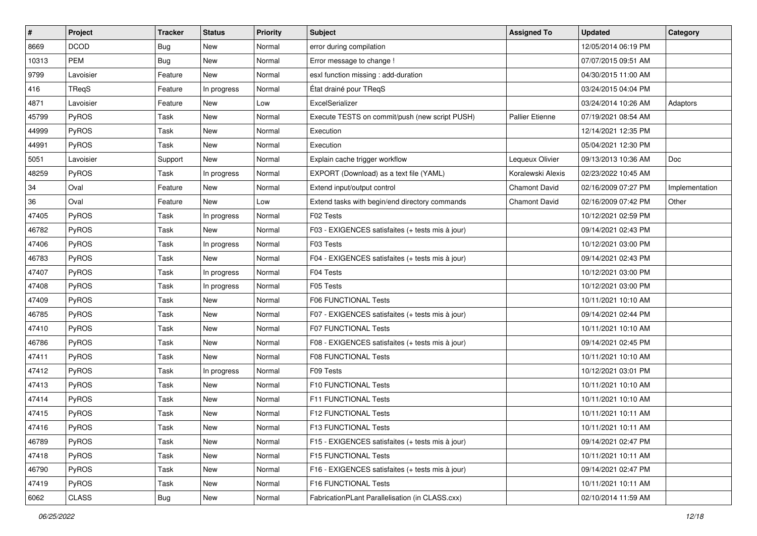| $\sharp$ | Project      | Tracker    | <b>Status</b> | <b>Priority</b> | <b>Subject</b>                                   | <b>Assigned To</b>     | <b>Updated</b>      | Category       |
|----------|--------------|------------|---------------|-----------------|--------------------------------------------------|------------------------|---------------------|----------------|
| 8669     | <b>DCOD</b>  | <b>Bug</b> | New           | Normal          | error during compilation                         |                        | 12/05/2014 06:19 PM |                |
| 10313    | <b>PEM</b>   | Bug        | <b>New</b>    | Normal          | Error message to change !                        |                        | 07/07/2015 09:51 AM |                |
| 9799     | Lavoisier    | Feature    | New           | Normal          | esxl function missing : add-duration             |                        | 04/30/2015 11:00 AM |                |
| 416      | TReqS        | Feature    | In progress   | Normal          | État drainé pour TReqS                           |                        | 03/24/2015 04:04 PM |                |
| 4871     | Lavoisier    | Feature    | New           | Low             | ExcelSerializer                                  |                        | 03/24/2014 10:26 AM | Adaptors       |
| 45799    | PyROS        | Task       | New           | Normal          | Execute TESTS on commit/push (new script PUSH)   | <b>Pallier Etienne</b> | 07/19/2021 08:54 AM |                |
| 44999    | PyROS        | Task       | New           | Normal          | Execution                                        |                        | 12/14/2021 12:35 PM |                |
| 44991    | PyROS        | Task       | New           | Normal          | Execution                                        |                        | 05/04/2021 12:30 PM |                |
| 5051     | Lavoisier    | Support    | New           | Normal          | Explain cache trigger workflow                   | Lequeux Olivier        | 09/13/2013 10:36 AM | Doc            |
| 48259    | PyROS        | Task       | In progress   | Normal          | EXPORT (Download) as a text file (YAML)          | Koralewski Alexis      | 02/23/2022 10:45 AM |                |
| 34       | Oval         | Feature    | New           | Normal          | Extend input/output control                      | <b>Chamont David</b>   | 02/16/2009 07:27 PM | Implementation |
| 36       | Oval         | Feature    | New           | Low             | Extend tasks with begin/end directory commands   | <b>Chamont David</b>   | 02/16/2009 07:42 PM | Other          |
| 47405    | PyROS        | Task       | In progress   | Normal          | F02 Tests                                        |                        | 10/12/2021 02:59 PM |                |
| 46782    | PyROS        | Task       | New           | Normal          | F03 - EXIGENCES satisfaites (+ tests mis à jour) |                        | 09/14/2021 02:43 PM |                |
| 47406    | PyROS        | Task       | In progress   | Normal          | F03 Tests                                        |                        | 10/12/2021 03:00 PM |                |
| 46783    | PyROS        | Task       | New           | Normal          | F04 - EXIGENCES satisfaites (+ tests mis à jour) |                        | 09/14/2021 02:43 PM |                |
| 47407    | PyROS        | Task       | In progress   | Normal          | F04 Tests                                        |                        | 10/12/2021 03:00 PM |                |
| 47408    | PyROS        | Task       | In progress   | Normal          | F05 Tests                                        |                        | 10/12/2021 03:00 PM |                |
| 47409    | PyROS        | Task       | New           | Normal          | F06 FUNCTIONAL Tests                             |                        | 10/11/2021 10:10 AM |                |
| 46785    | PyROS        | Task       | <b>New</b>    | Normal          | F07 - EXIGENCES satisfaites (+ tests mis à jour) |                        | 09/14/2021 02:44 PM |                |
| 47410    | PyROS        | Task       | New           | Normal          | F07 FUNCTIONAL Tests                             |                        | 10/11/2021 10:10 AM |                |
| 46786    | PyROS        | Task       | New           | Normal          | F08 - EXIGENCES satisfaites (+ tests mis à jour) |                        | 09/14/2021 02:45 PM |                |
| 47411    | PyROS        | Task       | New           | Normal          | F08 FUNCTIONAL Tests                             |                        | 10/11/2021 10:10 AM |                |
| 47412    | PyROS        | Task       | In progress   | Normal          | F09 Tests                                        |                        | 10/12/2021 03:01 PM |                |
| 47413    | PyROS        | Task       | New           | Normal          | F10 FUNCTIONAL Tests                             |                        | 10/11/2021 10:10 AM |                |
| 47414    | PyROS        | Task       | New           | Normal          | F11 FUNCTIONAL Tests                             |                        | 10/11/2021 10:10 AM |                |
| 47415    | PyROS        | Task       | New           | Normal          | F12 FUNCTIONAL Tests                             |                        | 10/11/2021 10:11 AM |                |
| 47416    | PyROS        | Task       | New           | Normal          | F13 FUNCTIONAL Tests                             |                        | 10/11/2021 10:11 AM |                |
| 46789    | PyROS        | Task       | New           | Normal          | F15 - EXIGENCES satisfaites (+ tests mis à jour) |                        | 09/14/2021 02:47 PM |                |
| 47418    | PyROS        | Task       | New           | Normal          | <b>F15 FUNCTIONAL Tests</b>                      |                        | 10/11/2021 10:11 AM |                |
| 46790    | PyROS        | Task       | New           | Normal          | F16 - EXIGENCES satisfaites (+ tests mis à jour) |                        | 09/14/2021 02:47 PM |                |
| 47419    | PyROS        | Task       | New           | Normal          | F16 FUNCTIONAL Tests                             |                        | 10/11/2021 10:11 AM |                |
| 6062     | <b>CLASS</b> | Bug        | New           | Normal          | FabricationPLant Parallelisation (in CLASS.cxx)  |                        | 02/10/2014 11:59 AM |                |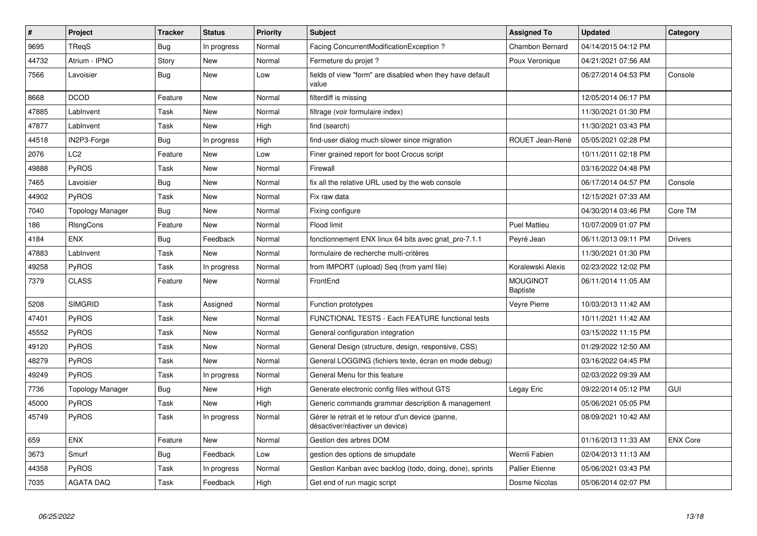| $\vert$ # | Project                 | <b>Tracker</b> | <b>Status</b> | <b>Priority</b> | <b>Subject</b>                                                                       | <b>Assigned To</b>                 | <b>Updated</b>      | Category        |
|-----------|-------------------------|----------------|---------------|-----------------|--------------------------------------------------------------------------------------|------------------------------------|---------------------|-----------------|
| 9695      | TRegS                   | <b>Bug</b>     | In progress   | Normal          | Facing ConcurrentModificationException?                                              | Chambon Bernard                    | 04/14/2015 04:12 PM |                 |
| 44732     | Atrium - IPNO           | Story          | <b>New</b>    | Normal          | Fermeture du projet?                                                                 | Poux Veronique                     | 04/21/2021 07:56 AM |                 |
| 7566      | Lavoisier               | <b>Bug</b>     | <b>New</b>    | Low             | fields of view "form" are disabled when they have default<br>value                   |                                    | 06/27/2014 04:53 PM | Console         |
| 8668      | <b>DCOD</b>             | Feature        | New           | Normal          | filterdiff is missing                                                                |                                    | 12/05/2014 06:17 PM |                 |
| 47885     | LabInvent               | Task           | <b>New</b>    | Normal          | filtrage (voir formulaire index)                                                     |                                    | 11/30/2021 01:30 PM |                 |
| 47877     | LabInvent               | Task           | New           | High            | find (search)                                                                        |                                    | 11/30/2021 03:43 PM |                 |
| 44518     | IN2P3-Forge             | <b>Bug</b>     | In progress   | High            | find-user dialog much slower since migration                                         | ROUET Jean-René                    | 05/05/2021 02:28 PM |                 |
| 2076      | LC <sub>2</sub>         | Feature        | <b>New</b>    | Low             | Finer grained report for boot Crocus script                                          |                                    | 10/11/2011 02:18 PM |                 |
| 49888     | PyROS                   | Task           | <b>New</b>    | Normal          | Firewall                                                                             |                                    | 03/16/2022 04:48 PM |                 |
| 7465      | Lavoisier               | <b>Bug</b>     | New           | Normal          | fix all the relative URL used by the web console                                     |                                    | 06/17/2014 04:57 PM | Console         |
| 44902     | <b>PyROS</b>            | Task           | New           | Normal          | Fix raw data                                                                         |                                    | 12/15/2021 07:33 AM |                 |
| 7040      | <b>Topology Manager</b> | <b>Bug</b>     | <b>New</b>    | Normal          | Fixing configure                                                                     |                                    | 04/30/2014 03:46 PM | Core TM         |
| 186       | <b>RIsngCons</b>        | Feature        | New           | Normal          | Flood limit                                                                          | <b>Puel Mattieu</b>                | 10/07/2009 01:07 PM |                 |
| 4184      | <b>ENX</b>              | <b>Bug</b>     | Feedback      | Normal          | fonctionnement ENX linux 64 bits avec gnat_pro-7.1.1                                 | Peyré Jean                         | 06/11/2013 09:11 PM | <b>Drivers</b>  |
| 47883     | LabInvent               | Task           | <b>New</b>    | Normal          | formulaire de recherche multi-critères                                               |                                    | 11/30/2021 01:30 PM |                 |
| 49258     | <b>PyROS</b>            | Task           | In progress   | Normal          | from IMPORT (upload) Seq (from yaml file)                                            | Koralewski Alexis                  | 02/23/2022 12:02 PM |                 |
| 7379      | <b>CLASS</b>            | Feature        | New           | Normal          | FrontEnd                                                                             | <b>MOUGINOT</b><br><b>Baptiste</b> | 06/11/2014 11:05 AM |                 |
| 5208      | <b>SIMGRID</b>          | Task           | Assigned      | Normal          | Function prototypes                                                                  | Veyre Pierre                       | 10/03/2013 11:42 AM |                 |
| 47401     | <b>PyROS</b>            | Task           | New           | Normal          | FUNCTIONAL TESTS - Each FEATURE functional tests                                     |                                    | 10/11/2021 11:42 AM |                 |
| 45552     | <b>PyROS</b>            | Task           | <b>New</b>    | Normal          | General configuration integration                                                    |                                    | 03/15/2022 11:15 PM |                 |
| 49120     | PyROS                   | Task           | New           | Normal          | General Design (structure, design, responsive, CSS)                                  |                                    | 01/29/2022 12:50 AM |                 |
| 48279     | <b>PyROS</b>            | Task           | <b>New</b>    | Normal          | General LOGGING (fichiers texte, écran en mode debug)                                |                                    | 03/16/2022 04:45 PM |                 |
| 49249     | <b>PyROS</b>            | Task           | In progress   | Normal          | General Menu for this feature                                                        |                                    | 02/03/2022 09:39 AM |                 |
| 7736      | <b>Topology Manager</b> | <b>Bug</b>     | <b>New</b>    | High            | Generate electronic config files without GTS                                         | Legay Eric                         | 09/22/2014 05:12 PM | <b>GUI</b>      |
| 45000     | <b>PyROS</b>            | Task           | New           | High            | Generic commands grammar description & management                                    |                                    | 05/06/2021 05:05 PM |                 |
| 45749     | <b>PyROS</b>            | Task           | In progress   | Normal          | Gérer le retrait et le retour d'un device (panne,<br>désactiver/réactiver un device) |                                    | 08/09/2021 10:42 AM |                 |
| 659       | <b>ENX</b>              | Feature        | New           | Normal          | Gestion des arbres DOM                                                               |                                    | 01/16/2013 11:33 AM | <b>ENX Core</b> |
| 3673      | Smurf                   | Bug            | Feedback      | Low             | gestion des options de smupdate                                                      | Wernli Fabien                      | 02/04/2013 11:13 AM |                 |
| 44358     | <b>PyROS</b>            | Task           | In progress   | Normal          | Gestion Kanban avec backlog (todo, doing, done), sprints                             | <b>Pallier Etienne</b>             | 05/06/2021 03:43 PM |                 |
| 7035      | <b>AGATA DAQ</b>        | Task           | Feedback      | High            | Get end of run magic script                                                          | Dosme Nicolas                      | 05/06/2014 02:07 PM |                 |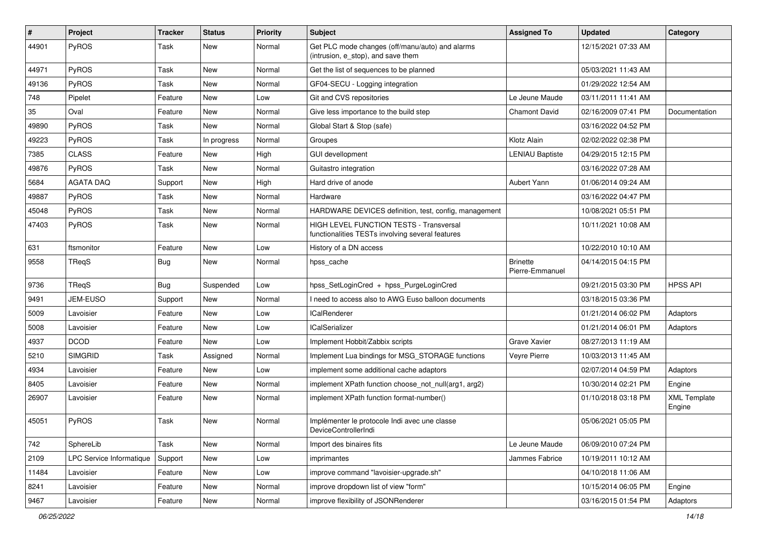| $\sharp$ | Project                  | Tracker    | <b>Status</b> | <b>Priority</b> | <b>Subject</b>                                                                              | <b>Assigned To</b>                 | <b>Updated</b>      | Category                      |
|----------|--------------------------|------------|---------------|-----------------|---------------------------------------------------------------------------------------------|------------------------------------|---------------------|-------------------------------|
| 44901    | PyROS                    | Task       | New           | Normal          | Get PLC mode changes (off/manu/auto) and alarms<br>(intrusion, e stop), and save them       |                                    | 12/15/2021 07:33 AM |                               |
| 44971    | <b>PyROS</b>             | Task       | New           | Normal          | Get the list of sequences to be planned                                                     |                                    | 05/03/2021 11:43 AM |                               |
| 49136    | PyROS                    | Task       | <b>New</b>    | Normal          | GF04-SECU - Logging integration                                                             |                                    | 01/29/2022 12:54 AM |                               |
| 748      | Pipelet                  | Feature    | <b>New</b>    | Low             | Git and CVS repositories                                                                    | Le Jeune Maude                     | 03/11/2011 11:41 AM |                               |
| 35       | Oval                     | Feature    | New           | Normal          | Give less importance to the build step                                                      | <b>Chamont David</b>               | 02/16/2009 07:41 PM | Documentation                 |
| 49890    | PyROS                    | Task       | <b>New</b>    | Normal          | Global Start & Stop (safe)                                                                  |                                    | 03/16/2022 04:52 PM |                               |
| 49223    | PyROS                    | Task       | In progress   | Normal          | Groupes                                                                                     | Klotz Alain                        | 02/02/2022 02:38 PM |                               |
| 7385     | <b>CLASS</b>             | Feature    | New           | High            | <b>GUI devellopment</b>                                                                     | <b>LENIAU Baptiste</b>             | 04/29/2015 12:15 PM |                               |
| 49876    | PyROS                    | Task       | <b>New</b>    | Normal          | Guitastro integration                                                                       |                                    | 03/16/2022 07:28 AM |                               |
| 5684     | <b>AGATA DAQ</b>         | Support    | New           | High            | Hard drive of anode                                                                         | Aubert Yann                        | 01/06/2014 09:24 AM |                               |
| 49887    | PyROS                    | Task       | <b>New</b>    | Normal          | Hardware                                                                                    |                                    | 03/16/2022 04:47 PM |                               |
| 45048    | <b>PyROS</b>             | Task       | <b>New</b>    | Normal          | HARDWARE DEVICES definition, test, config, management                                       |                                    | 10/08/2021 05:51 PM |                               |
| 47403    | PyROS                    | Task       | New           | Normal          | HIGH LEVEL FUNCTION TESTS - Transversal<br>functionalities TESTs involving several features |                                    | 10/11/2021 10:08 AM |                               |
| 631      | ftsmonitor               | Feature    | New           | Low             | History of a DN access                                                                      |                                    | 10/22/2010 10:10 AM |                               |
| 9558     | TReqS                    | <b>Bug</b> | New           | Normal          | hpss_cache                                                                                  | <b>Brinette</b><br>Pierre-Emmanuel | 04/14/2015 04:15 PM |                               |
| 9736     | TRegS                    | <b>Bug</b> | Suspended     | Low             | hpss SetLoginCred + hpss PurgeLoginCred                                                     |                                    | 09/21/2015 03:30 PM | <b>HPSS API</b>               |
| 9491     | JEM-EUSO                 | Support    | New           | Normal          | I need to access also to AWG Euso balloon documents                                         |                                    | 03/18/2015 03:36 PM |                               |
| 5009     | Lavoisier                | Feature    | <b>New</b>    | Low             | <b>ICalRenderer</b>                                                                         |                                    | 01/21/2014 06:02 PM | Adaptors                      |
| 5008     | Lavoisier                | Feature    | New           | Low             | <b>ICalSerializer</b>                                                                       |                                    | 01/21/2014 06:01 PM | Adaptors                      |
| 4937     | <b>DCOD</b>              | Feature    | <b>New</b>    | Low             | Implement Hobbit/Zabbix scripts                                                             | Grave Xavier                       | 08/27/2013 11:19 AM |                               |
| 5210     | <b>SIMGRID</b>           | Task       | Assigned      | Normal          | Implement Lua bindings for MSG_STORAGE functions                                            | Veyre Pierre                       | 10/03/2013 11:45 AM |                               |
| 4934     | Lavoisier                | Feature    | New           | Low             | implement some additional cache adaptors                                                    |                                    | 02/07/2014 04:59 PM | Adaptors                      |
| 8405     | Lavoisier                | Feature    | New           | Normal          | implement XPath function choose_not_null(arg1, arg2)                                        |                                    | 10/30/2014 02:21 PM | Engine                        |
| 26907    | Lavoisier                | Feature    | New           | Normal          | implement XPath function format-number()                                                    |                                    | 01/10/2018 03:18 PM | <b>XML Template</b><br>Engine |
| 45051    | PyROS                    | Task       | New           | Normal          | Implémenter le protocole Indi avec une classe<br>DeviceControllerIndi                       |                                    | 05/06/2021 05:05 PM |                               |
| 742      | SphereLib                | Task       | <b>New</b>    | Normal          | Import des binaires fits                                                                    | Le Jeune Maude                     | 06/09/2010 07:24 PM |                               |
| 2109     | LPC Service Informatique | Support    | New           | Low             | imprimantes                                                                                 | Jammes Fabrice                     | 10/19/2011 10:12 AM |                               |
| 11484    | Lavoisier                | Feature    | New           | Low             | improve command "lavoisier-upgrade.sh"                                                      |                                    | 04/10/2018 11:06 AM |                               |
| 8241     | Lavoisier                | Feature    | New           | Normal          | improve dropdown list of view "form"                                                        |                                    | 10/15/2014 06:05 PM | Engine                        |
| 9467     | Lavoisier                | Feature    | New           | Normal          | improve flexibility of JSONRenderer                                                         |                                    | 03/16/2015 01:54 PM | Adaptors                      |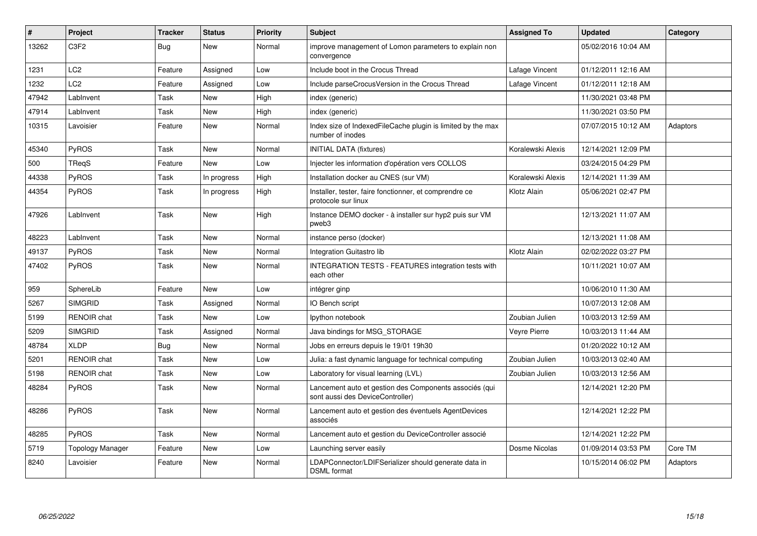| ∦     | <b>Project</b>                | <b>Tracker</b> | <b>Status</b> | <b>Priority</b> | <b>Subject</b>                                                                             | <b>Assigned To</b> | <b>Updated</b>      | Category |
|-------|-------------------------------|----------------|---------------|-----------------|--------------------------------------------------------------------------------------------|--------------------|---------------------|----------|
| 13262 | C <sub>3</sub> F <sub>2</sub> | Bug            | <b>New</b>    | Normal          | improve management of Lomon parameters to explain non<br>convergence                       |                    | 05/02/2016 10:04 AM |          |
| 1231  | LC <sub>2</sub>               | Feature        | Assigned      | Low             | Include boot in the Crocus Thread                                                          | Lafage Vincent     | 01/12/2011 12:16 AM |          |
| 1232  | LC <sub>2</sub>               | Feature        | Assigned      | Low             | Include parseCrocusVersion in the Crocus Thread                                            | Lafage Vincent     | 01/12/2011 12:18 AM |          |
| 47942 | LabInvent                     | Task           | <b>New</b>    | High            | index (generic)                                                                            |                    | 11/30/2021 03:48 PM |          |
| 47914 | LabInvent                     | Task           | <b>New</b>    | High            | index (generic)                                                                            |                    | 11/30/2021 03:50 PM |          |
| 10315 | Lavoisier                     | Feature        | <b>New</b>    | Normal          | Index size of IndexedFileCache plugin is limited by the max<br>number of inodes            |                    | 07/07/2015 10:12 AM | Adaptors |
| 45340 | <b>PyROS</b>                  | Task           | <b>New</b>    | Normal          | <b>INITIAL DATA (fixtures)</b>                                                             | Koralewski Alexis  | 12/14/2021 12:09 PM |          |
| 500   | TReqS                         | Feature        | <b>New</b>    | Low             | Injecter les information d'opération vers COLLOS                                           |                    | 03/24/2015 04:29 PM |          |
| 44338 | PyROS                         | Task           | In progress   | High            | Installation docker au CNES (sur VM)                                                       | Koralewski Alexis  | 12/14/2021 11:39 AM |          |
| 44354 | <b>PyROS</b>                  | Task           | In progress   | High            | Installer, tester, faire fonctionner, et comprendre ce<br>protocole sur linux              | Klotz Alain        | 05/06/2021 02:47 PM |          |
| 47926 | LabInvent                     | Task           | New           | High            | Instance DEMO docker - à installer sur hyp2 puis sur VM<br>pweb3                           |                    | 12/13/2021 11:07 AM |          |
| 48223 | LabInvent                     | Task           | <b>New</b>    | Normal          | instance perso (docker)                                                                    |                    | 12/13/2021 11:08 AM |          |
| 49137 | PyROS                         | Task           | <b>New</b>    | Normal          | Integration Guitastro lib                                                                  | Klotz Alain        | 02/02/2022 03:27 PM |          |
| 47402 | PyROS                         | Task           | New           | Normal          | INTEGRATION TESTS - FEATURES integration tests with<br>each other                          |                    | 10/11/2021 10:07 AM |          |
| 959   | SphereLib                     | Feature        | <b>New</b>    | Low             | intégrer ginp                                                                              |                    | 10/06/2010 11:30 AM |          |
| 5267  | <b>SIMGRID</b>                | Task           | Assigned      | Normal          | IO Bench script                                                                            |                    | 10/07/2013 12:08 AM |          |
| 5199  | <b>RENOIR chat</b>            | Task           | <b>New</b>    | Low             | lpython notebook                                                                           | Zoubian Julien     | 10/03/2013 12:59 AM |          |
| 5209  | <b>SIMGRID</b>                | Task           | Assigned      | Normal          | Java bindings for MSG STORAGE                                                              | Vevre Pierre       | 10/03/2013 11:44 AM |          |
| 48784 | <b>XLDP</b>                   | Bug            | <b>New</b>    | Normal          | Jobs en erreurs depuis le 19/01 19h30                                                      |                    | 01/20/2022 10:12 AM |          |
| 5201  | RENOIR chat                   | Task           | <b>New</b>    | Low             | Julia: a fast dynamic language for technical computing                                     | Zoubian Julien     | 10/03/2013 02:40 AM |          |
| 5198  | <b>RENOIR chat</b>            | Task           | <b>New</b>    | Low             | Laboratory for visual learning (LVL)                                                       | Zoubian Julien     | 10/03/2013 12:56 AM |          |
| 48284 | PyROS                         | Task           | <b>New</b>    | Normal          | Lancement auto et gestion des Components associés (qui<br>sont aussi des DeviceController) |                    | 12/14/2021 12:20 PM |          |
| 48286 | PyROS                         | Task           | <b>New</b>    | Normal          | Lancement auto et gestion des éventuels AgentDevices<br>associés                           |                    | 12/14/2021 12:22 PM |          |
| 48285 | <b>PyROS</b>                  | Task           | <b>New</b>    | Normal          | Lancement auto et gestion du DeviceController associé                                      |                    | 12/14/2021 12:22 PM |          |
| 5719  | <b>Topology Manager</b>       | Feature        | <b>New</b>    | Low             | Launching server easily                                                                    | Dosme Nicolas      | 01/09/2014 03:53 PM | Core TM  |
| 8240  | Lavoisier                     | Feature        | New           | Normal          | LDAPConnector/LDIFSerializer should generate data in<br><b>DSML</b> format                 |                    | 10/15/2014 06:02 PM | Adaptors |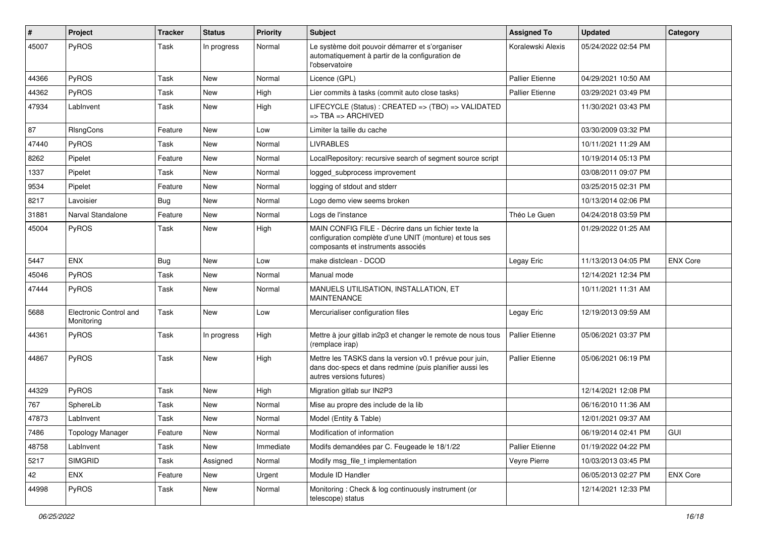| #     | Project                              | <b>Tracker</b> | <b>Status</b> | <b>Priority</b> | <b>Subject</b>                                                                                                                                       | <b>Assigned To</b>     | <b>Updated</b>      | Category        |
|-------|--------------------------------------|----------------|---------------|-----------------|------------------------------------------------------------------------------------------------------------------------------------------------------|------------------------|---------------------|-----------------|
| 45007 | PyROS                                | Task           | In progress   | Normal          | Le système doit pouvoir démarrer et s'organiser<br>automatiquement à partir de la configuration de<br>l'observatoire                                 | Koralewski Alexis      | 05/24/2022 02:54 PM |                 |
| 44366 | PyROS                                | Task           | <b>New</b>    | Normal          | Licence (GPL)                                                                                                                                        | <b>Pallier Etienne</b> | 04/29/2021 10:50 AM |                 |
| 44362 | PyROS                                | Task           | <b>New</b>    | High            | Lier commits à tasks (commit auto close tasks)                                                                                                       | <b>Pallier Etienne</b> | 03/29/2021 03:49 PM |                 |
| 47934 | LabInvent                            | Task           | New           | High            | LIFECYCLE (Status) : CREATED => (TBO) => VALIDATED<br>=> TBA => ARCHIVED                                                                             |                        | 11/30/2021 03:43 PM |                 |
| 87    | RIsngCons                            | Feature        | New           | Low             | Limiter la taille du cache                                                                                                                           |                        | 03/30/2009 03:32 PM |                 |
| 47440 | PyROS                                | Task           | <b>New</b>    | Normal          | <b>LIVRABLES</b>                                                                                                                                     |                        | 10/11/2021 11:29 AM |                 |
| 8262  | Pipelet                              | Feature        | <b>New</b>    | Normal          | LocalRepository: recursive search of segment source script                                                                                           |                        | 10/19/2014 05:13 PM |                 |
| 1337  | Pipelet                              | Task           | <b>New</b>    | Normal          | logged subprocess improvement                                                                                                                        |                        | 03/08/2011 09:07 PM |                 |
| 9534  | Pipelet                              | Feature        | New           | Normal          | logging of stdout and stderr                                                                                                                         |                        | 03/25/2015 02:31 PM |                 |
| 8217  | Lavoisier                            | Bug            | <b>New</b>    | Normal          | Logo demo view seems broken                                                                                                                          |                        | 10/13/2014 02:06 PM |                 |
| 31881 | Narval Standalone                    | Feature        | New           | Normal          | Logs de l'instance                                                                                                                                   | Théo Le Guen           | 04/24/2018 03:59 PM |                 |
| 45004 | PyROS                                | Task           | <b>New</b>    | High            | MAIN CONFIG FILE - Décrire dans un fichier texte la<br>configuration complète d'une UNIT (monture) et tous ses<br>composants et instruments associés |                        | 01/29/2022 01:25 AM |                 |
| 5447  | <b>ENX</b>                           | <b>Bug</b>     | <b>New</b>    | Low             | make distclean - DCOD                                                                                                                                | Legay Eric             | 11/13/2013 04:05 PM | <b>ENX Core</b> |
| 45046 | PyROS                                | Task           | <b>New</b>    | Normal          | Manual mode                                                                                                                                          |                        | 12/14/2021 12:34 PM |                 |
| 47444 | PyROS                                | Task           | New           | Normal          | MANUELS UTILISATION, INSTALLATION, ET<br><b>MAINTENANCE</b>                                                                                          |                        | 10/11/2021 11:31 AM |                 |
| 5688  | Electronic Control and<br>Monitoring | Task           | New           | Low             | Mercurialiser configuration files                                                                                                                    | Legay Eric             | 12/19/2013 09:59 AM |                 |
| 44361 | <b>PyROS</b>                         | Task           | In progress   | High            | Mettre à jour gitlab in2p3 et changer le remote de nous tous<br>(remplace irap)                                                                      | <b>Pallier Etienne</b> | 05/06/2021 03:37 PM |                 |
| 44867 | PyROS                                | Task           | <b>New</b>    | High            | Mettre les TASKS dans la version v0.1 prévue pour juin,<br>dans doc-specs et dans redmine (puis planifier aussi les<br>autres versions futures)      | <b>Pallier Etienne</b> | 05/06/2021 06:19 PM |                 |
| 44329 | PyROS                                | Task           | <b>New</b>    | High            | Migration gitlab sur IN2P3                                                                                                                           |                        | 12/14/2021 12:08 PM |                 |
| 767   | SphereLib                            | Task           | <b>New</b>    | Normal          | Mise au propre des include de la lib                                                                                                                 |                        | 06/16/2010 11:36 AM |                 |
| 47873 | LabInvent                            | Task           | New           | Normal          | Model (Entity & Table)                                                                                                                               |                        | 12/01/2021 09:37 AM |                 |
| 7486  | <b>Topology Manager</b>              | Feature        | New           | Normal          | Modification of information                                                                                                                          |                        | 06/19/2014 02:41 PM | <b>GUI</b>      |
| 48758 | LabInvent                            | Task           | New           | Immediate       | Modifs demandées par C. Feugeade le 18/1/22                                                                                                          | Pallier Etienne        | 01/19/2022 04:22 PM |                 |
| 5217  | <b>SIMGRID</b>                       | Task           | Assigned      | Normal          | Modify msg_file_t implementation                                                                                                                     | Veyre Pierre           | 10/03/2013 03:45 PM |                 |
| 42    | <b>ENX</b>                           | Feature        | New           | Urgent          | Module ID Handler                                                                                                                                    |                        | 06/05/2013 02:27 PM | <b>ENX Core</b> |
| 44998 | PyROS                                | Task           | New           | Normal          | Monitoring: Check & log continuously instrument (or<br>telescope) status                                                                             |                        | 12/14/2021 12:33 PM |                 |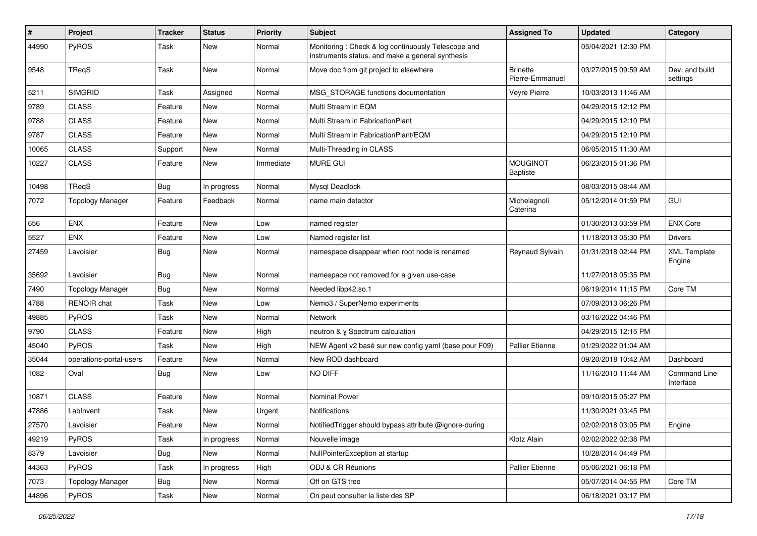| $\pmb{\#}$ | Project                 | <b>Tracker</b> | <b>Status</b> | <b>Priority</b> | Subject                                                                                                | <b>Assigned To</b>                 | <b>Updated</b>      | Category                         |
|------------|-------------------------|----------------|---------------|-----------------|--------------------------------------------------------------------------------------------------------|------------------------------------|---------------------|----------------------------------|
| 44990      | PyROS                   | Task           | <b>New</b>    | Normal          | Monitoring: Check & log continuously Telescope and<br>instruments status, and make a general synthesis |                                    | 05/04/2021 12:30 PM |                                  |
| 9548       | TReqS                   | Task           | <b>New</b>    | Normal          | Move doc from git project to elsewhere                                                                 | <b>Brinette</b><br>Pierre-Emmanuel | 03/27/2015 09:59 AM | Dev, and build<br>settings       |
| 5211       | <b>SIMGRID</b>          | Task           | Assigned      | Normal          | MSG_STORAGE functions documentation                                                                    | Veyre Pierre                       | 10/03/2013 11:46 AM |                                  |
| 9789       | <b>CLASS</b>            | Feature        | New           | Normal          | Multi Stream in EQM                                                                                    |                                    | 04/29/2015 12:12 PM |                                  |
| 9788       | <b>CLASS</b>            | Feature        | New           | Normal          | Multi Stream in FabricationPlant                                                                       |                                    | 04/29/2015 12:10 PM |                                  |
| 9787       | <b>CLASS</b>            | Feature        | <b>New</b>    | Normal          | Multi Stream in FabricationPlant/EQM                                                                   |                                    | 04/29/2015 12:10 PM |                                  |
| 10065      | <b>CLASS</b>            | Support        | <b>New</b>    | Normal          | Multi-Threading in CLASS                                                                               |                                    | 06/05/2015 11:30 AM |                                  |
| 10227      | <b>CLASS</b>            | Feature        | New           | Immediate       | <b>MURE GUI</b>                                                                                        | <b>MOUGINOT</b><br><b>Baptiste</b> | 06/23/2015 01:36 PM |                                  |
| 10498      | TReqS                   | <b>Bug</b>     | In progress   | Normal          | Mysql Deadlock                                                                                         |                                    | 08/03/2015 08:44 AM |                                  |
| 7072       | <b>Topology Manager</b> | Feature        | Feedback      | Normal          | name main detector                                                                                     | Michelagnoli<br>Caterina           | 05/12/2014 01:59 PM | GUI                              |
| 656        | <b>ENX</b>              | Feature        | New           | Low             | named register                                                                                         |                                    | 01/30/2013 03:59 PM | <b>ENX Core</b>                  |
| 5527       | <b>ENX</b>              | Feature        | <b>New</b>    | Low             | Named register list                                                                                    |                                    | 11/18/2013 05:30 PM | <b>Drivers</b>                   |
| 27459      | Lavoisier               | <b>Bug</b>     | <b>New</b>    | Normal          | namespace disappear when root node is renamed                                                          | Reynaud Sylvain                    | 01/31/2018 02:44 PM | <b>XML Template</b><br>Engine    |
| 35692      | Lavoisier               | <b>Bug</b>     | New           | Normal          | namespace not removed for a given use-case                                                             |                                    | 11/27/2018 05:35 PM |                                  |
| 7490       | <b>Topology Manager</b> | <b>Bug</b>     | <b>New</b>    | Normal          | Needed libp42.so.1                                                                                     |                                    | 06/19/2014 11:15 PM | Core TM                          |
| 4788       | <b>RENOIR chat</b>      | Task           | <b>New</b>    | Low             | Nemo3 / SuperNemo experiments                                                                          |                                    | 07/09/2013 06:26 PM |                                  |
| 49885      | PyROS                   | Task           | <b>New</b>    | Normal          | Network                                                                                                |                                    | 03/16/2022 04:46 PM |                                  |
| 9790       | <b>CLASS</b>            | Feature        | <b>New</b>    | High            | neutron & y Spectrum calculation                                                                       |                                    | 04/29/2015 12:15 PM |                                  |
| 45040      | PyROS                   | Task           | <b>New</b>    | High            | NEW Agent v2 basé sur new config yaml (base pour F09)                                                  | <b>Pallier Etienne</b>             | 01/29/2022 01:04 AM |                                  |
| 35044      | operations-portal-users | Feature        | <b>New</b>    | Normal          | New ROD dashboard                                                                                      |                                    | 09/20/2018 10:42 AM | Dashboard                        |
| 1082       | Oval                    | Bug            | <b>New</b>    | Low             | <b>NO DIFF</b>                                                                                         |                                    | 11/16/2010 11:44 AM | <b>Command Line</b><br>Interface |
| 10871      | <b>CLASS</b>            | Feature        | <b>New</b>    | Normal          | <b>Nominal Power</b>                                                                                   |                                    | 09/10/2015 05:27 PM |                                  |
| 47886      | LabInvent               | Task           | <b>New</b>    | Urgent          | <b>Notifications</b>                                                                                   |                                    | 11/30/2021 03:45 PM |                                  |
| 27570      | Lavoisier               | Feature        | New           | Normal          | Notified Trigger should bypass attribute @ignore-during                                                |                                    | 02/02/2018 03:05 PM | Engine                           |
| 49219      | PyROS                   | Task           | In progress   | Normal          | Nouvelle image                                                                                         | Klotz Alain                        | 02/02/2022 02:38 PM |                                  |
| 8379       | Lavoisier               | <b>Bug</b>     | New           | Normal          | NullPointerException at startup                                                                        |                                    | 10/28/2014 04:49 PM |                                  |
| 44363      | PyROS                   | Task           | In progress   | High            | ODJ & CR Réunions                                                                                      | <b>Pallier Etienne</b>             | 05/06/2021 06:18 PM |                                  |
| 7073       | <b>Topology Manager</b> | <b>Bug</b>     | New           | Normal          | Off on GTS tree                                                                                        |                                    | 05/07/2014 04:55 PM | Core TM                          |
| 44896      | PyROS                   | Task           | New           | Normal          | On peut consulter la liste des SP                                                                      |                                    | 06/18/2021 03:17 PM |                                  |